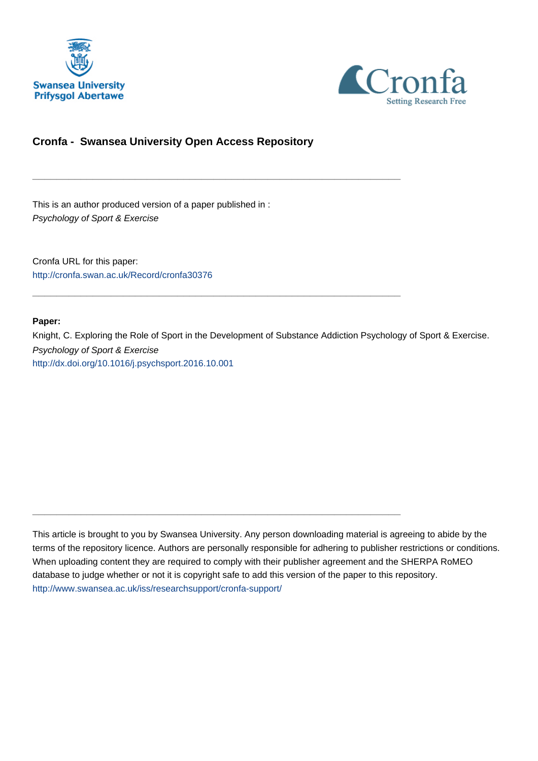



# **Cronfa - Swansea University Open Access Repository**

\_\_\_\_\_\_\_\_\_\_\_\_\_\_\_\_\_\_\_\_\_\_\_\_\_\_\_\_\_\_\_\_\_\_\_\_\_\_\_\_\_\_\_\_\_\_\_\_\_\_\_\_\_\_\_\_\_\_\_\_\_

\_\_\_\_\_\_\_\_\_\_\_\_\_\_\_\_\_\_\_\_\_\_\_\_\_\_\_\_\_\_\_\_\_\_\_\_\_\_\_\_\_\_\_\_\_\_\_\_\_\_\_\_\_\_\_\_\_\_\_\_\_

 $\_$  , and the set of the set of the set of the set of the set of the set of the set of the set of the set of the set of the set of the set of the set of the set of the set of the set of the set of the set of the set of th

This is an author produced version of a paper published in : Psychology of Sport & Exercise

Cronfa URL for this paper: <http://cronfa.swan.ac.uk/Record/cronfa30376>

#### **Paper:**

Knight, C. Exploring the Role of Sport in the Development of Substance Addiction Psychology of Sport & Exercise. Psychology of Sport & Exercise <http://dx.doi.org/10.1016/j.psychsport.2016.10.001>

This article is brought to you by Swansea University. Any person downloading material is agreeing to abide by the terms of the repository licence. Authors are personally responsible for adhering to publisher restrictions or conditions. When uploading content they are required to comply with their publisher agreement and the SHERPA RoMEO database to judge whether or not it is copyright safe to add this version of the paper to this repository. [http://www.swansea.ac.uk/iss/researchsupport/cronfa-support/](http://www.swansea.ac.uk/iss/researchsupport/cronfa-support/ )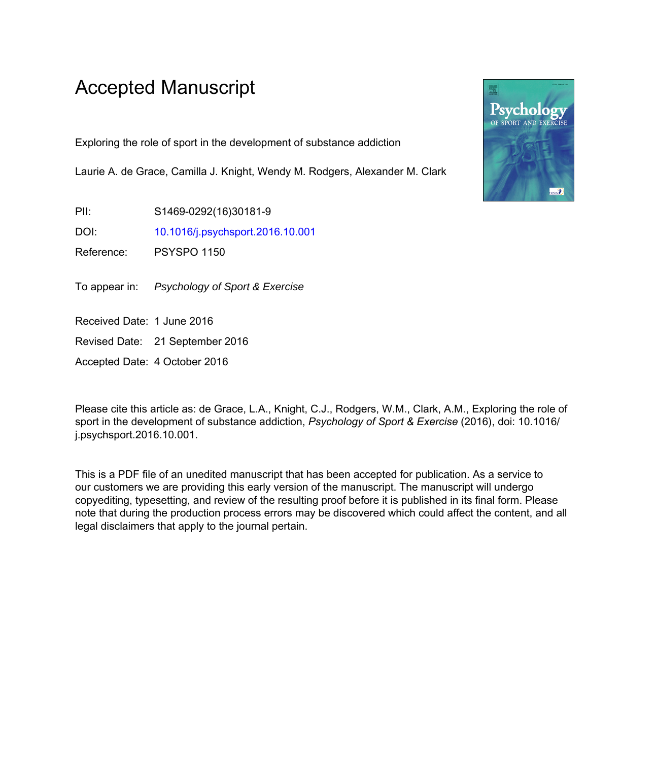# Accepted Manuscript

Exploring the role of sport in the development of substance addiction

Laurie A. de Grace, Camilla J. Knight, Wendy M. Rodgers, Alexander M. Clark

PII: S1469-0292(16)30181-9

DOI: 10.1016/j.psychsport.2016.10.001

Reference: PSYSPO 1150

To appear in: Psychology of Sport & Exercise

Received Date: 1 June 2016

Revised Date: 21 September 2016

Accepted Date: 4 October 2016

Please cite this article as: de Grace, L.A., Knight, C.J., Rodgers, W.M., Clark, A.M., Exploring the role of sport in the development of substance addiction, *Psychology of Sport & Exercise* (2016), doi: 10.1016/ j.psychsport.2016.10.001.

This is a PDF file of an unedited manuscript that has been accepted for publication. As a service to our customers we are providing this early version of the manuscript. The manuscript will undergo copyediting, typesetting, and review of the resulting proof before it is published in its final form. Please note that during the production process errors may be discovered which could affect the content, and all legal disclaimers that apply to the journal pertain.

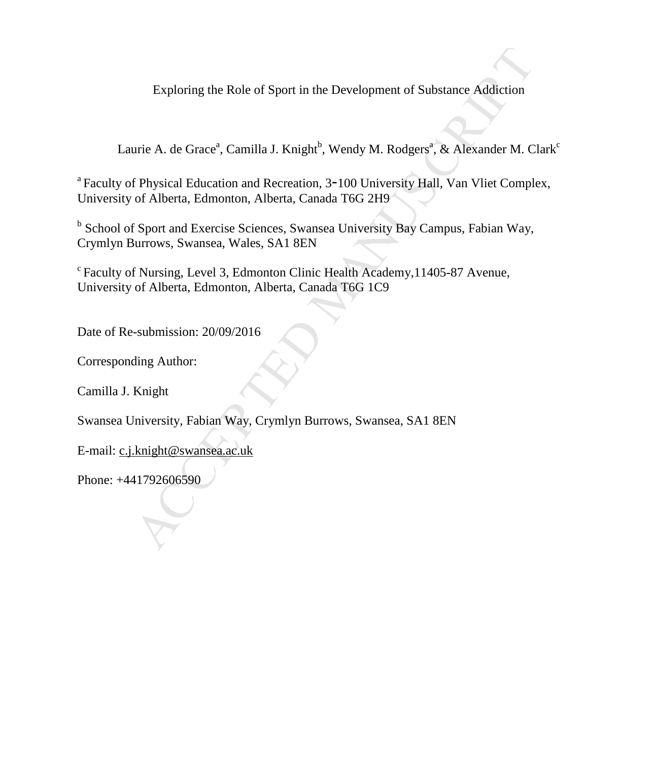Exploring the Role of Sport in the Development of Substance Addiction

Laurie A. de Grace<sup>a</sup>, Camilla J. Knight<sup>b</sup>, Wendy M. Rodgers<sup>a</sup>, & Alexander M. Clark<sup>c</sup>

Exploring the Role of Sport in the Development of Substance Addiction<br>urie A. de Grace", Camilla J. Knight", Wendy M. Rodgers", & Alexander M. C<br>f Physical Education and Recreation. 3-100 University Hall. Van Vliet Compl<br>o <sup>a</sup> Faculty of Physical Education and Recreation, 3-100 University Hall, Van Vliet Complex, University of Alberta, Edmonton, Alberta, Canada T6G 2H9

<sup>b</sup> School of Sport and Exercise Sciences, Swansea University Bay Campus, Fabian Way, Crymlyn Burrows, Swansea, Wales, SA1 8EN

<sup>c</sup> Faculty of Nursing, Level 3, Edmonton Clinic Health Academy, 11405-87 Avenue, University of Alberta, Edmonton, Alberta, Canada T6G 1C9

Date of Re-submission: 20/09/2016

Corresponding Author:

Camilla J. Knight

Swansea University, Fabian Way, Crymlyn Burrows, Swansea, SA1 8EN

E-mail: c.j.knight@swansea.ac.uk

Phone: +441792606590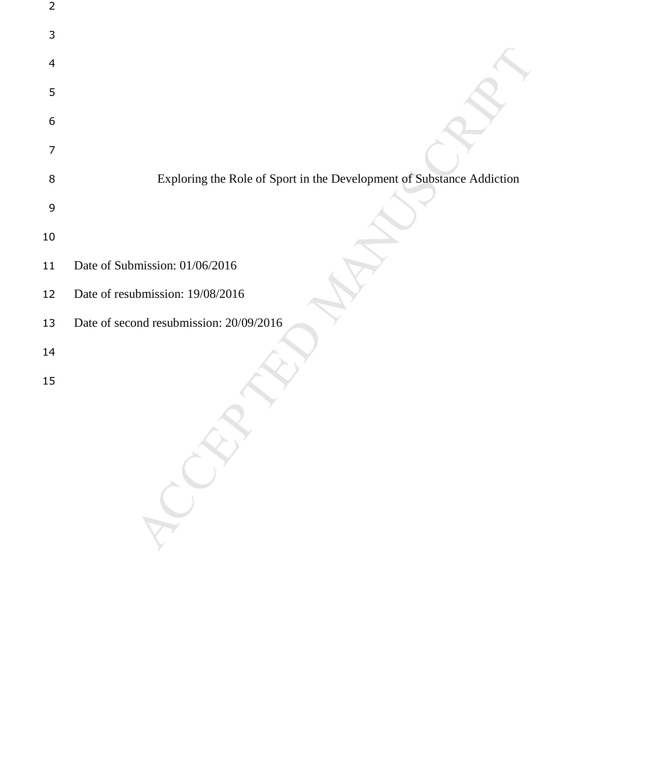| $\overline{2}$ |                                                                       |
|----------------|-----------------------------------------------------------------------|
| 3              |                                                                       |
| 4              |                                                                       |
| 5              |                                                                       |
| 6              |                                                                       |
| 7              |                                                                       |
| 8              | Exploring the Role of Sport in the Development of Substance Addiction |
| 9              |                                                                       |
| 10             |                                                                       |
| 11             | Date of Submission: 01/06/2016                                        |
| 12             | Date of resubmission: 19/08/2016                                      |
| 13             | Date of second resubmission: 20/09/2016                               |
| 14             |                                                                       |
| 15             |                                                                       |
|                |                                                                       |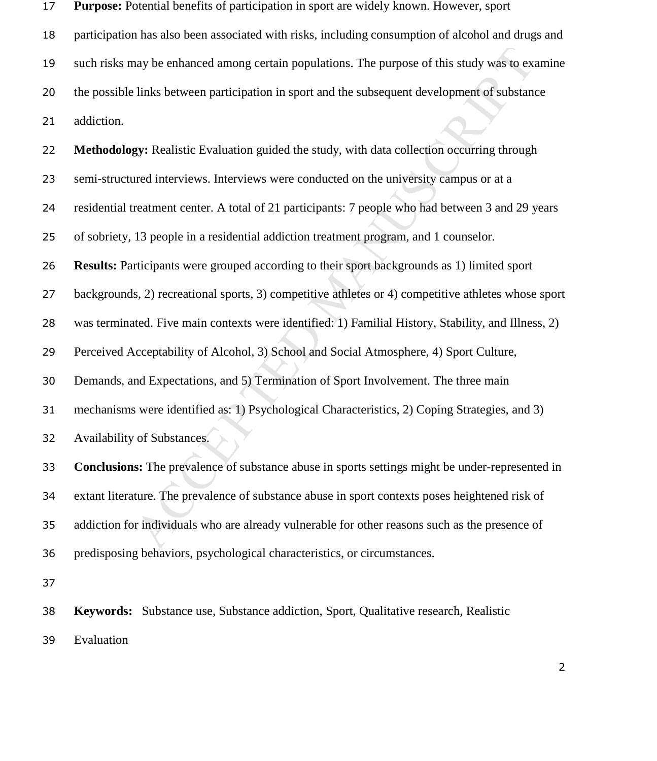| 17 | <b>Purpose:</b> Potential benefits of participation in sport are widely known. However, sport          |
|----|--------------------------------------------------------------------------------------------------------|
| 18 | participation has also been associated with risks, including consumption of alcohol and drugs and      |
| 19 | such risks may be enhanced among certain populations. The purpose of this study was to examine         |
| 20 | the possible links between participation in sport and the subsequent development of substance          |
| 21 | addiction.                                                                                             |
| 22 | Methodology: Realistic Evaluation guided the study, with data collection occurring through             |
| 23 | semi-structured interviews. Interviews were conducted on the university campus or at a                 |
| 24 | residential treatment center. A total of 21 participants: 7 people who had between 3 and 29 years      |
| 25 | of sobriety, 13 people in a residential addiction treatment program, and 1 counselor.                  |
| 26 | <b>Results:</b> Participants were grouped according to their sport backgrounds as 1) limited sport     |
| 27 | backgrounds, 2) recreational sports, 3) competitive athletes or 4) competitive athletes whose sport    |
| 28 | was terminated. Five main contexts were identified: 1) Familial History, Stability, and Illness, 2)    |
| 29 | Perceived Acceptability of Alcohol, 3) School and Social Atmosphere, 4) Sport Culture,                 |
| 30 | Demands, and Expectations, and 5) Termination of Sport Involvement. The three main                     |
| 31 | mechanisms were identified as: 1) Psychological Characteristics, 2) Coping Strategies, and 3)          |
| 32 | Availability of Substances.                                                                            |
| 33 | <b>Conclusions:</b> The prevalence of substance abuse in sports settings might be under-represented in |
| 34 | extant literature. The prevalence of substance abuse in sport contexts poses heightened risk of        |
| 35 | addiction for individuals who are already vulnerable for other reasons such as the presence of         |
| 36 | predisposing behaviors, psychological characteristics, or circumstances.                               |
| 37 |                                                                                                        |
| 38 | Keywords: Substance use, Substance addiction, Sport, Qualitative research, Realistic                   |
| 39 | Evaluation                                                                                             |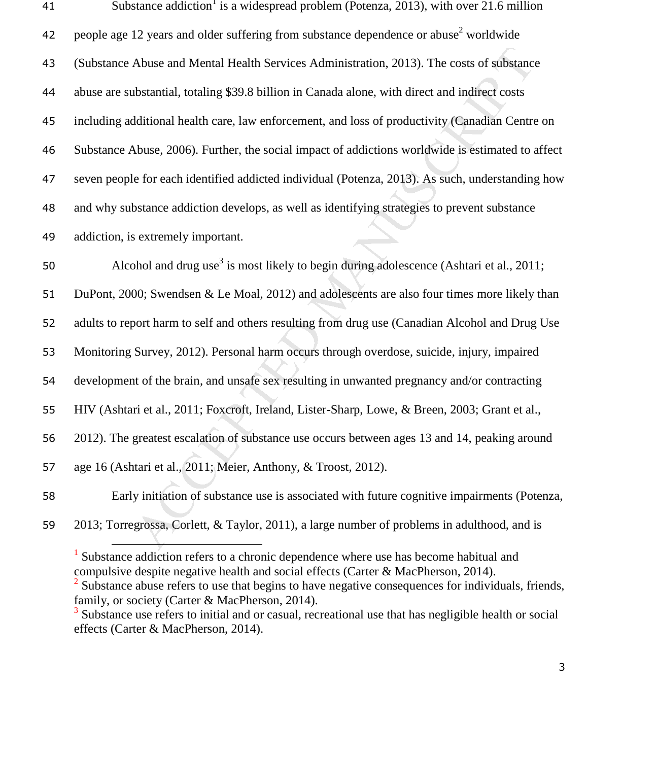| 41 | Substance addiction <sup>1</sup> is a widespread problem (Potenza, 2013), with over 21.6 million    |
|----|-----------------------------------------------------------------------------------------------------|
| 42 | people age 12 years and older suffering from substance dependence or abuse <sup>2</sup> worldwide   |
| 43 | (Substance Abuse and Mental Health Services Administration, 2013). The costs of substance           |
| 44 | abuse are substantial, totaling \$39.8 billion in Canada alone, with direct and indirect costs      |
| 45 | including additional health care, law enforcement, and loss of productivity (Canadian Centre on     |
| 46 | Substance Abuse, 2006). Further, the social impact of addictions worldwide is estimated to affect   |
| 47 | seven people for each identified addicted individual (Potenza, 2013). As such, understanding how    |
| 48 | and why substance addiction develops, as well as identifying strategies to prevent substance        |
| 49 | addiction, is extremely important.                                                                  |
| 50 | Alcohol and drug use <sup>3</sup> is most likely to begin during adolescence (Ashtari et al., 2011; |
| 51 | DuPont, 2000; Swendsen & Le Moal, 2012) and adolescents are also four times more likely than        |
| 52 | adults to report harm to self and others resulting from drug use (Canadian Alcohol and Drug Use     |
| 53 | Monitoring Survey, 2012). Personal harm occurs through overdose, suicide, injury, impaired          |
| 54 | development of the brain, and unsafe sex resulting in unwanted pregnancy and/or contracting         |
| 55 | HIV (Ashtari et al., 2011; Foxcroft, Ireland, Lister-Sharp, Lowe, & Breen, 2003; Grant et al.,      |
| 56 | 2012). The greatest escalation of substance use occurs between ages 13 and 14, peaking around       |
| 57 | age 16 (Ashtari et al., 2011; Meier, Anthony, & Troost, 2012).                                      |
| 58 | Early initiation of substance use is associated with future cognitive impairments (Potenza,         |
| 59 | 2013; Torregrossa, Corlett, & Taylor, 2011), a large number of problems in adulthood, and is        |

<sup>&</sup>lt;sup>1</sup> Substance addiction refers to a chronic dependence where use has become habitual and compulsive despite negative health and social effects (Carter & MacPherson, 2014).

 $2^{2}$  Substance abuse refers to use that begins to have negative consequences for individuals, friends, family, or society (Carter & MacPherson, 2014).

<sup>&</sup>lt;sup>3</sup> Substance use refers to initial and or casual, recreational use that has negligible health or social effects (Carter & MacPherson, 2014).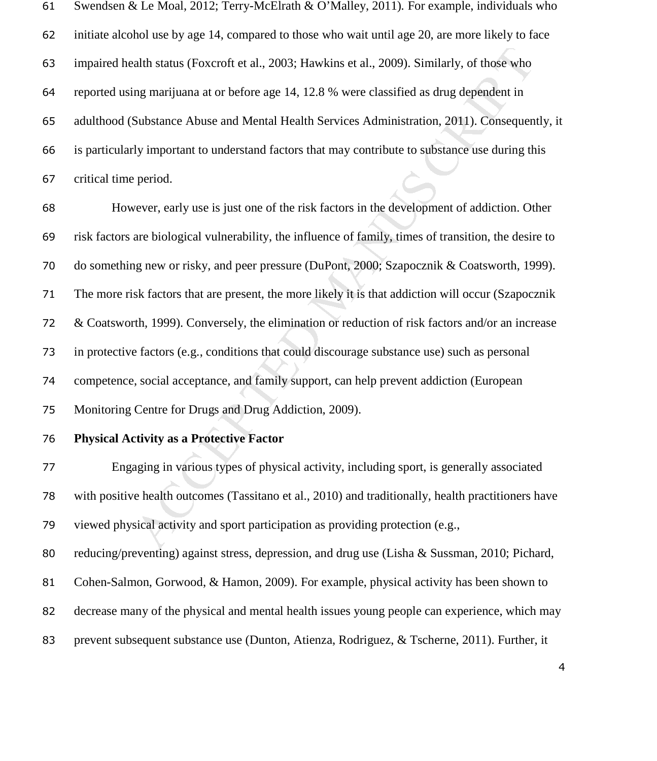| 61 | Swendsen & Le Moal, 2012; Terry-McElrath & O'Malley, 2011). For example, individuals who               |
|----|--------------------------------------------------------------------------------------------------------|
| 62 | initiate alcohol use by age 14, compared to those who wait until age 20, are more likely to face       |
| 63 | impaired health status (Foxcroft et al., 2003; Hawkins et al., 2009). Similarly, of those who          |
| 64 | reported using marijuana at or before age 14, 12.8 % were classified as drug dependent in              |
| 65 | adulthood (Substance Abuse and Mental Health Services Administration, 2011). Consequently, it          |
| 66 | is particularly important to understand factors that may contribute to substance use during this       |
| 67 | critical time period.                                                                                  |
| 68 | However, early use is just one of the risk factors in the development of addiction. Other              |
| 69 | risk factors are biological vulnerability, the influence of family, times of transition, the desire to |
| 70 | do something new or risky, and peer pressure (DuPont, 2000; Szapocznik & Coatsworth, 1999).            |
| 71 | The more risk factors that are present, the more likely it is that addiction will occur (Szapocznik    |
| 72 | & Coatsworth, 1999). Conversely, the elimination or reduction of risk factors and/or an increase       |
| 73 | in protective factors (e.g., conditions that could discourage substance use) such as personal          |
| 74 | competence, social acceptance, and family support, can help prevent addiction (European                |
| 75 | Monitoring Centre for Drugs and Drug Addiction, 2009).                                                 |
| 76 | <b>Physical Activity as a Protective Factor</b>                                                        |
| 77 | Engaging in various types of physical activity, including sport, is generally associated               |
| 78 | with positive health outcomes (Tassitano et al., 2010) and traditionally, health practitioners have    |
| 79 | viewed physical activity and sport participation as providing protection (e.g.,                        |
| 80 | reducing/preventing) against stress, depression, and drug use (Lisha & Sussman, 2010; Pichard,         |
| 81 | Cohen-Salmon, Gorwood, & Hamon, 2009). For example, physical activity has been shown to                |
| 82 | decrease many of the physical and mental health issues young people can experience, which may          |
| 83 | prevent subsequent substance use (Dunton, Atienza, Rodriguez, & Tscherne, 2011). Further, it           |
|    |                                                                                                        |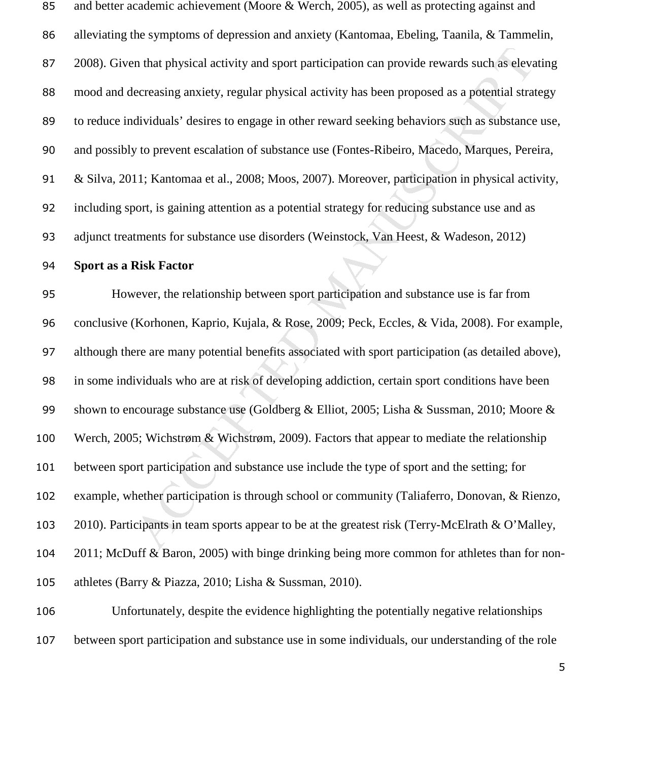and better academic achievement (Moore & Werch, 2005), as well as protecting against and alleviating the symptoms of depression and anxiety (Kantomaa, Ebeling, Taanila, & Tammelin, 2008). Given that physical activity and sport participation can provide rewards such as elevating mood and decreasing anxiety, regular physical activity has been proposed as a potential strategy to reduce individuals' desires to engage in other reward seeking behaviors such as substance use, and possibly to prevent escalation of substance use (Fontes-Ribeiro, Macedo, Marques, Pereira, & Silva, 2011; Kantomaa et al., 2008; Moos, 2007). Moreover, participation in physical activity, including sport, is gaining attention as a potential strategy for reducing substance use and as adjunct treatments for substance use disorders (Weinstock, Van Heest, & Wadeson, 2012)

#### **Sport as a Risk Factor**

on that physical activity and sport participation can provide rewards such as elevy<br>ecreasing anxiety, regular physical activity has been proposed as a potential stra<br>dividuals' desires to engage in other reward seeking be However, the relationship between sport participation and substance use is far from conclusive (Korhonen, Kaprio, Kujala, & Rose, 2009; Peck, Eccles, & Vida, 2008). For example, although there are many potential benefits associated with sport participation (as detailed above), in some individuals who are at risk of developing addiction, certain sport conditions have been 99 shown to encourage substance use (Goldberg & Elliot, 2005; Lisha & Sussman, 2010; Moore & Werch, 2005; Wichstrøm & Wichstrøm, 2009). Factors that appear to mediate the relationship between sport participation and substance use include the type of sport and the setting; for example, whether participation is through school or community (Taliaferro, Donovan, & Rienzo, 2010). Participants in team sports appear to be at the greatest risk (Terry-McElrath & O'Malley, 2011; McDuff & Baron, 2005) with binge drinking being more common for athletes than for non-athletes (Barry & Piazza, 2010; Lisha & Sussman, 2010).

Unfortunately, despite the evidence highlighting the potentially negative relationships between sport participation and substance use in some individuals, our understanding of the role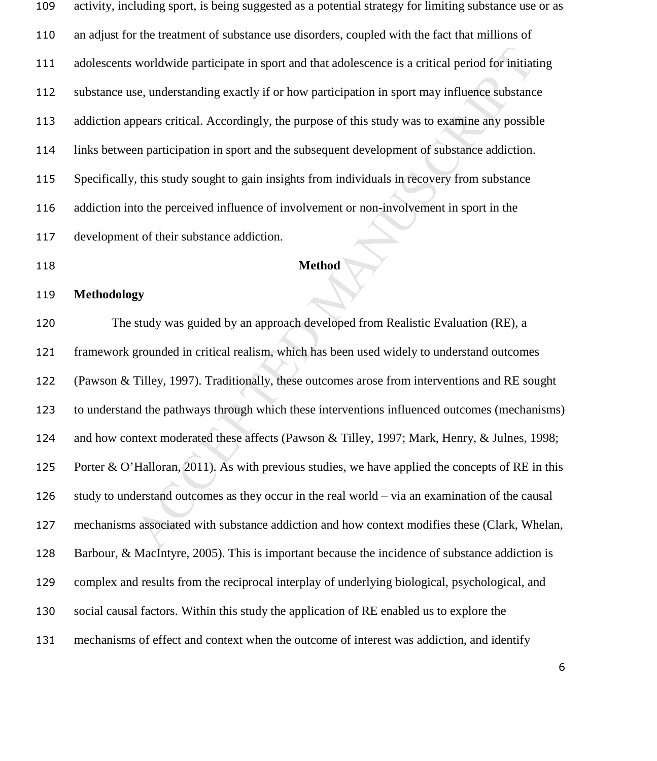| 109 | activity, including sport, is being suggested as a potential strategy for limiting substance use or as |
|-----|--------------------------------------------------------------------------------------------------------|
| 110 | an adjust for the treatment of substance use disorders, coupled with the fact that millions of         |
| 111 | adolescents worldwide participate in sport and that adolescence is a critical period for initiating    |
| 112 | substance use, understanding exactly if or how participation in sport may influence substance          |
| 113 | addiction appears critical. Accordingly, the purpose of this study was to examine any possible         |
| 114 | links between participation in sport and the subsequent development of substance addiction.            |
| 115 | Specifically, this study sought to gain insights from individuals in recovery from substance           |
| 116 | addiction into the perceived influence of involvement or non-involvement in sport in the               |
| 117 | development of their substance addiction.                                                              |

**Method** 

#### **Methodology**

worldwide participate in sport and that adolescence is a critical period for initiatse, understanding exactly if or how participation in sport may influence substance<br>pears critical. Accordingly, the purpose of this study The study was guided by an approach developed from Realistic Evaluation (RE), a framework grounded in critical realism, which has been used widely to understand outcomes (Pawson & Tilley, 1997). Traditionally, these outcomes arose from interventions and RE sought to understand the pathways through which these interventions influenced outcomes (mechanisms) and how context moderated these affects (Pawson & Tilley, 1997; Mark, Henry, & Julnes, 1998; Porter & O'Halloran, 2011). As with previous studies, we have applied the concepts of RE in this study to understand outcomes as they occur in the real world – via an examination of the causal mechanisms associated with substance addiction and how context modifies these (Clark, Whelan, Barbour, & MacIntyre, 2005). This is important because the incidence of substance addiction is complex and results from the reciprocal interplay of underlying biological, psychological, and social causal factors. Within this study the application of RE enabled us to explore the mechanisms of effect and context when the outcome of interest was addiction, and identify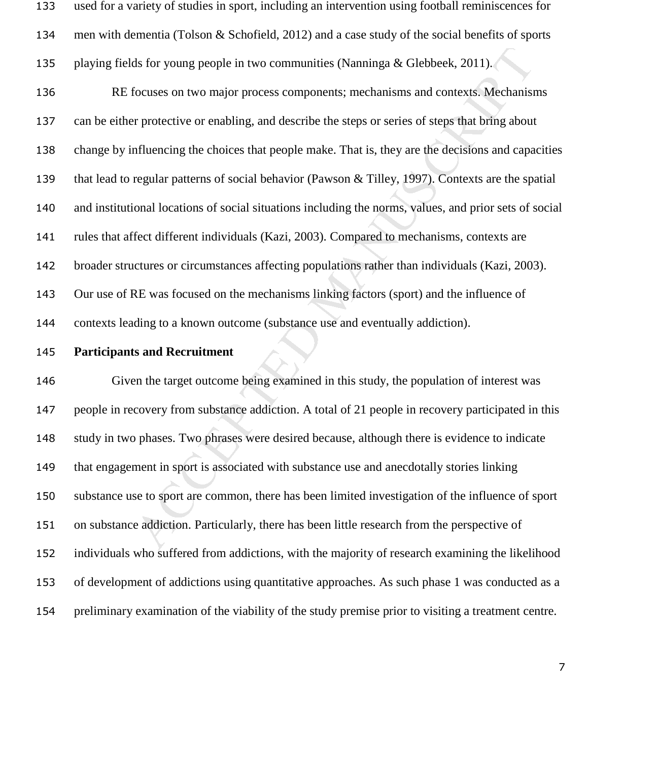ds for young people in two communities (Naminga & Glebbeek, 2011).<br>
focuses on two major process components; mechanisms and contexts. Mechanism<br>
frotoctive or enabling, and describe the steps or series of steps that bring used for a variety of studies in sport, including an intervention using football reminiscences for men with dementia (Tolson & Schofield, 2012) and a case study of the social benefits of sports playing fields for young people in two communities (Nanninga & Glebbeek, 2011). RE focuses on two major process components; mechanisms and contexts. Mechanisms can be either protective or enabling, and describe the steps or series of steps that bring about change by influencing the choices that people make. That is, they are the decisions and capacities that lead to regular patterns of social behavior (Pawson & Tilley, 1997). Contexts are the spatial and institutional locations of social situations including the norms, values, and prior sets of social rules that affect different individuals (Kazi, 2003). Compared to mechanisms, contexts are broader structures or circumstances affecting populations rather than individuals (Kazi, 2003).

Our use of RE was focused on the mechanisms linking factors (sport) and the influence of

contexts leading to a known outcome (substance use and eventually addiction).

#### **Participants and Recruitment**

Given the target outcome being examined in this study, the population of interest was people in recovery from substance addiction. A total of 21 people in recovery participated in this study in two phases. Two phrases were desired because, although there is evidence to indicate that engagement in sport is associated with substance use and anecdotally stories linking substance use to sport are common, there has been limited investigation of the influence of sport on substance addiction. Particularly, there has been little research from the perspective of individuals who suffered from addictions, with the majority of research examining the likelihood of development of addictions using quantitative approaches. As such phase 1 was conducted as a preliminary examination of the viability of the study premise prior to visiting a treatment centre.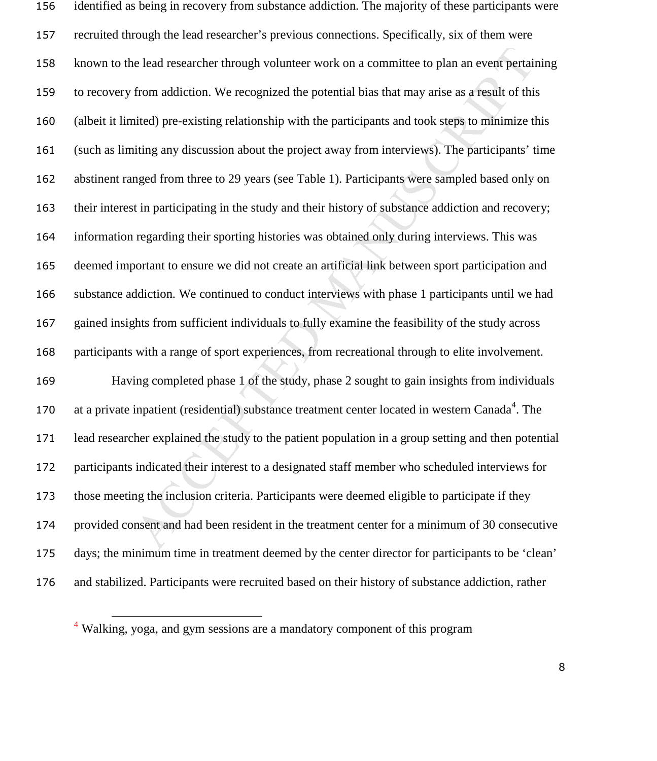is elead researcher through volunteer work on a committee to plan an event pertai<br>from addiction. We recognized the potential bias that may arise as a result of thi<br>ited) pre-existing relationship with the participants and identified as being in recovery from substance addiction. The majority of these participants were recruited through the lead researcher's previous connections. Specifically, six of them were known to the lead researcher through volunteer work on a committee to plan an event pertaining to recovery from addiction. We recognized the potential bias that may arise as a result of this (albeit it limited) pre-existing relationship with the participants and took steps to minimize this (such as limiting any discussion about the project away from interviews). The participants' time abstinent ranged from three to 29 years (see Table 1). Participants were sampled based only on their interest in participating in the study and their history of substance addiction and recovery; information regarding their sporting histories was obtained only during interviews. This was deemed important to ensure we did not create an artificial link between sport participation and substance addiction. We continued to conduct interviews with phase 1 participants until we had gained insights from sufficient individuals to fully examine the feasibility of the study across participants with a range of sport experiences, from recreational through to elite involvement. Having completed phase 1 of the study, phase 2 sought to gain insights from individuals 170 at a private inpatient (residential) substance treatment center located in western Canada<sup>4</sup>. The lead researcher explained the study to the patient population in a group setting and then potential participants indicated their interest to a designated staff member who scheduled interviews for those meeting the inclusion criteria. Participants were deemed eligible to participate if they provided consent and had been resident in the treatment center for a minimum of 30 consecutive days; the minimum time in treatment deemed by the center director for participants to be 'clean' and stabilized. Participants were recruited based on their history of substance addiction, rather

l

<sup>&</sup>lt;sup>4</sup> Walking, yoga, and gym sessions are a mandatory component of this program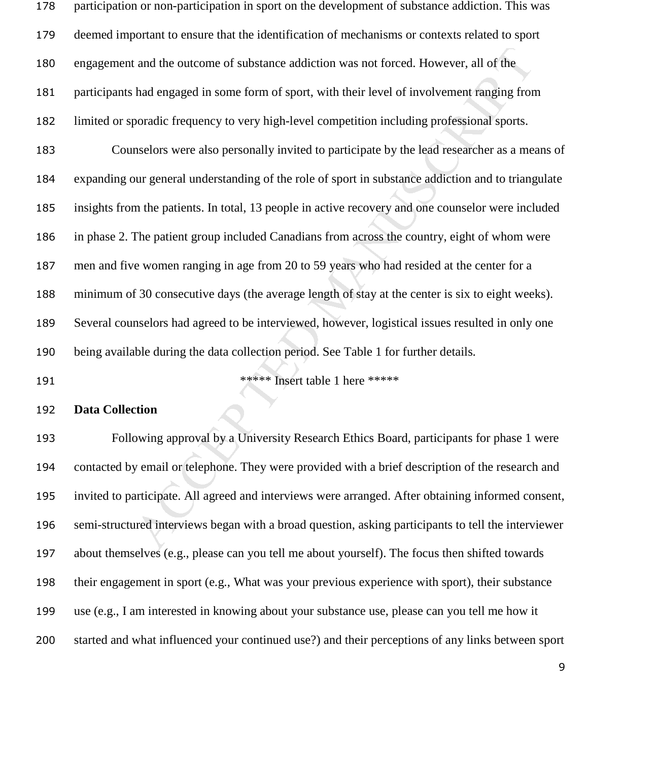| 178 | participation or non-participation in sport on the development of substance addiction. This was     |
|-----|-----------------------------------------------------------------------------------------------------|
| 179 | deemed important to ensure that the identification of mechanisms or contexts related to sport       |
| 180 | engagement and the outcome of substance addiction was not forced. However, all of the               |
| 181 | participants had engaged in some form of sport, with their level of involvement ranging from        |
| 182 | limited or sporadic frequency to very high-level competition including professional sports.         |
| 183 | Counselors were also personally invited to participate by the lead researcher as a means of         |
| 184 | expanding our general understanding of the role of sport in substance addiction and to triangulate  |
| 185 | insights from the patients. In total, 13 people in active recovery and one counselor were included  |
| 186 | in phase 2. The patient group included Canadians from across the country, eight of whom were        |
| 187 | men and five women ranging in age from 20 to 59 years who had resided at the center for a           |
| 188 | minimum of 30 consecutive days (the average length of stay at the center is six to eight weeks).    |
| 189 | Several counselors had agreed to be interviewed, however, logistical issues resulted in only one    |
| 190 | being available during the data collection period. See Table 1 for further details.                 |
| 191 | ***** Insert table 1 here *****                                                                     |
| 192 | <b>Data Collection</b>                                                                              |
| 193 | Following approval by a University Research Ethics Board, participants for phase 1 were             |
| 194 | contacted by email or telephone. They were provided with a brief description of the research and    |
| 195 | invited to participate. All agreed and interviews were arranged. After obtaining informed consent,  |
| 196 | semi-structured interviews began with a broad question, asking participants to tell the interviewer |
|     | $\sqrt{2}$ and $\sqrt{2}$ 11 1 $\sqrt{2}$ 10 $\sqrt{2}$ 10 $\sqrt{2}$ 10 $\sqrt{2}$ 10 $\sqrt{2}$   |

### **Data Collection**

Following approval by a University Research Ethics Board, participants for phase 1 were contacted by email or telephone. They were provided with a brief description of the research and invited to participate. All agreed and interviews were arranged. After obtaining informed consent, semi-structured interviews began with a broad question, asking participants to tell the interviewer about themselves (e.g., please can you tell me about yourself). The focus then shifted towards their engagement in sport (e.g., What was your previous experience with sport), their substance use (e.g., I am interested in knowing about your substance use, please can you tell me how it started and what influenced your continued use?) and their perceptions of any links between sport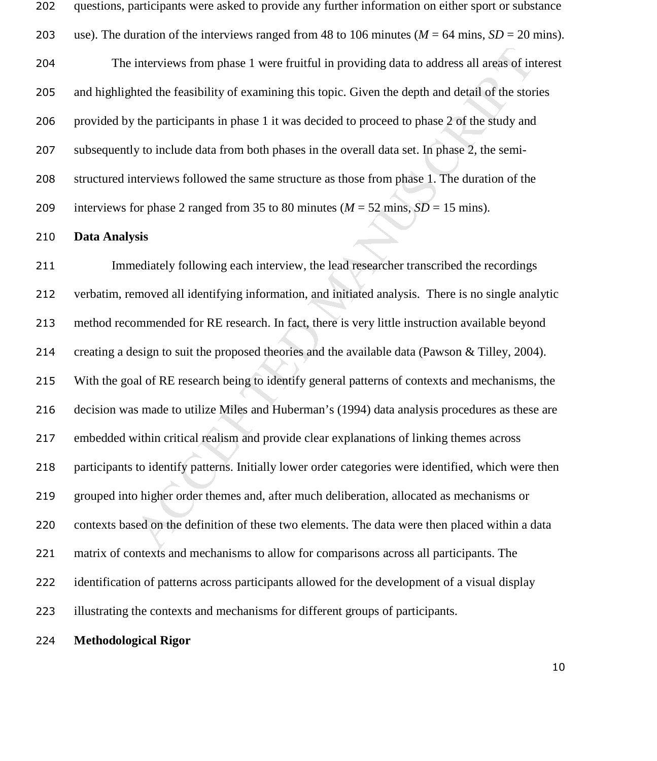| 202 | questions, participants were asked to provide any further information on either sport or substance   |
|-----|------------------------------------------------------------------------------------------------------|
| 203 | use). The duration of the interviews ranged from 48 to 106 minutes ( $M = 64$ mins, $SD = 20$ mins). |
| 204 | The interviews from phase 1 were fruitful in providing data to address all areas of interest         |
| 205 | and highlighted the feasibility of examining this topic. Given the depth and detail of the stories   |
| 206 | provided by the participants in phase 1 it was decided to proceed to phase 2 of the study and        |
| 207 | subsequently to include data from both phases in the overall data set. In phase 2, the semi-         |
| 208 | structured interviews followed the same structure as those from phase 1. The duration of the         |
| 209 | interviews for phase 2 ranged from 35 to 80 minutes ( $M = 52$ mins, $SD = 15$ mins).                |

#### **Data Analysis**

interviews from phase 1 were fruitful in providing data to address all areas of in<br>the dthe feasibility of examining this topic. Given the depth and detail of the stor<br>the participants in phase 1 it was decided to proceed Immediately following each interview, the lead researcher transcribed the recordings verbatim, removed all identifying information, and initiated analysis. There is no single analytic method recommended for RE research. In fact, there is very little instruction available beyond creating a design to suit the proposed theories and the available data (Pawson & Tilley, 2004). With the goal of RE research being to identify general patterns of contexts and mechanisms, the decision was made to utilize Miles and Huberman's (1994) data analysis procedures as these are embedded within critical realism and provide clear explanations of linking themes across participants to identify patterns. Initially lower order categories were identified, which were then grouped into higher order themes and, after much deliberation, allocated as mechanisms or contexts based on the definition of these two elements. The data were then placed within a data matrix of contexts and mechanisms to allow for comparisons across all participants. The identification of patterns across participants allowed for the development of a visual display illustrating the contexts and mechanisms for different groups of participants.

#### **Methodological Rigor**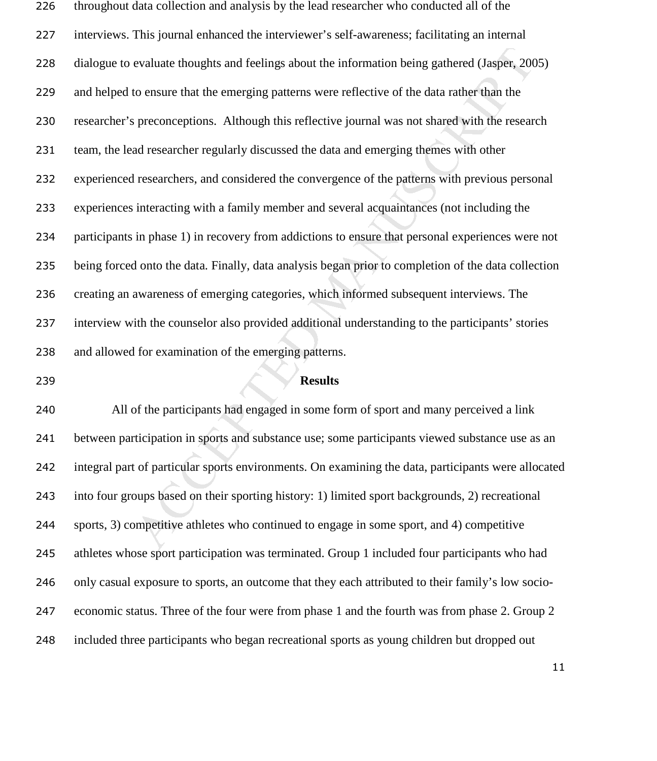evaluate thoughts and feelings about the information being gathered (Jasper, 20<br>to ensure that the emerging patterns were reflective of the data rather than the<br>preconceptions. Although this reflective journal was not shar throughout data collection and analysis by the lead researcher who conducted all of the interviews. This journal enhanced the interviewer's self-awareness; facilitating an internal dialogue to evaluate thoughts and feelings about the information being gathered (Jasper, 2005) and helped to ensure that the emerging patterns were reflective of the data rather than the researcher's preconceptions. Although this reflective journal was not shared with the research team, the lead researcher regularly discussed the data and emerging themes with other experienced researchers, and considered the convergence of the patterns with previous personal experiences interacting with a family member and several acquaintances (not including the participants in phase 1) in recovery from addictions to ensure that personal experiences were not being forced onto the data. Finally, data analysis began prior to completion of the data collection creating an awareness of emerging categories, which informed subsequent interviews. The interview with the counselor also provided additional understanding to the participants' stories and allowed for examination of the emerging patterns.

#### **Results**

All of the participants had engaged in some form of sport and many perceived a link between participation in sports and substance use; some participants viewed substance use as an integral part of particular sports environments. On examining the data, participants were allocated into four groups based on their sporting history: 1) limited sport backgrounds, 2) recreational sports, 3) competitive athletes who continued to engage in some sport, and 4) competitive athletes whose sport participation was terminated. Group 1 included four participants who had only casual exposure to sports, an outcome that they each attributed to their family's low socio-economic status. Three of the four were from phase 1 and the fourth was from phase 2. Group 2 included three participants who began recreational sports as young children but dropped out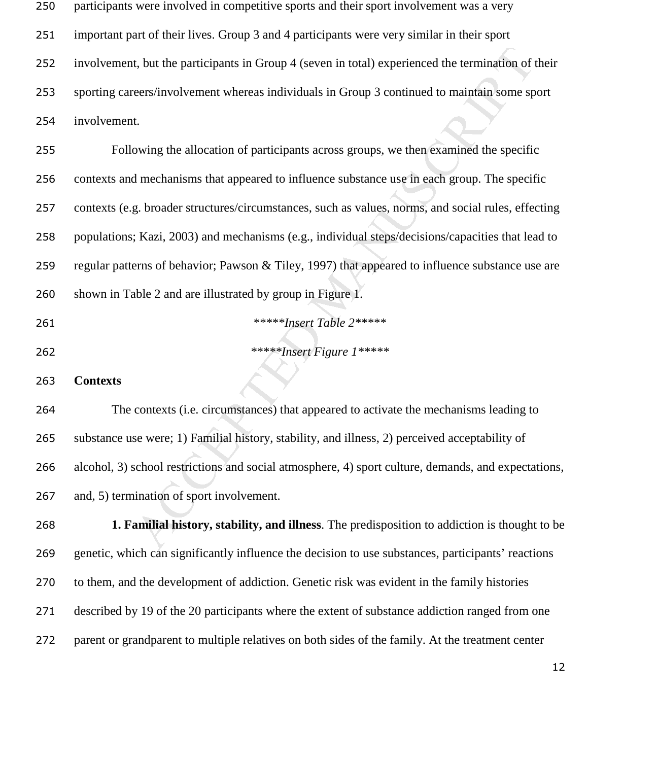| 250 | participants were involved in competitive sports and their sport involvement was a very             |
|-----|-----------------------------------------------------------------------------------------------------|
| 251 | important part of their lives. Group 3 and 4 participants were very similar in their sport          |
| 252 | involvement, but the participants in Group 4 (seven in total) experienced the termination of their  |
| 253 | sporting careers/involvement whereas individuals in Group 3 continued to maintain some sport        |
| 254 | involvement.                                                                                        |
| 255 | Following the allocation of participants across groups, we then examined the specific               |
| 256 | contexts and mechanisms that appeared to influence substance use in each group. The specific        |
| 257 | contexts (e.g. broader structures/circumstances, such as values, norms, and social rules, effecting |
| 258 | populations; Kazi, 2003) and mechanisms (e.g., individual steps/decisions/capacities that lead to   |
| 259 | regular patterns of behavior; Pawson & Tiley, 1997) that appeared to influence substance use are    |
| 260 | shown in Table 2 and are illustrated by group in Figure 1.                                          |
| 261 | *****Insert Table 2*****                                                                            |
| 262 | *****Insert Figure 1*****                                                                           |
| 263 | <b>Contexts</b>                                                                                     |
| 264 | The contexts (i.e. circumstances) that appeared to activate the mechanisms leading to               |
| 265 | substance use were; 1) Familial history, stability, and illness, 2) perceived acceptability of      |
| 266 | alcohol, 3) school restrictions and social atmosphere, 4) sport culture, demands, and expectations, |
| 267 | and, 5) termination of sport involvement.                                                           |
| 268 | 1. Familial history, stability, and illness. The predisposition to addiction is thought to be       |
| 269 | genetic, which can significantly influence the decision to use substances, participants' reactions  |
| 270 | to them, and the development of addiction. Genetic risk was evident in the family histories         |
| 271 | described by 19 of the 20 participants where the extent of substance addiction ranged from one      |
| 272 | parent or grandparent to multiple relatives on both sides of the family. At the treatment center    |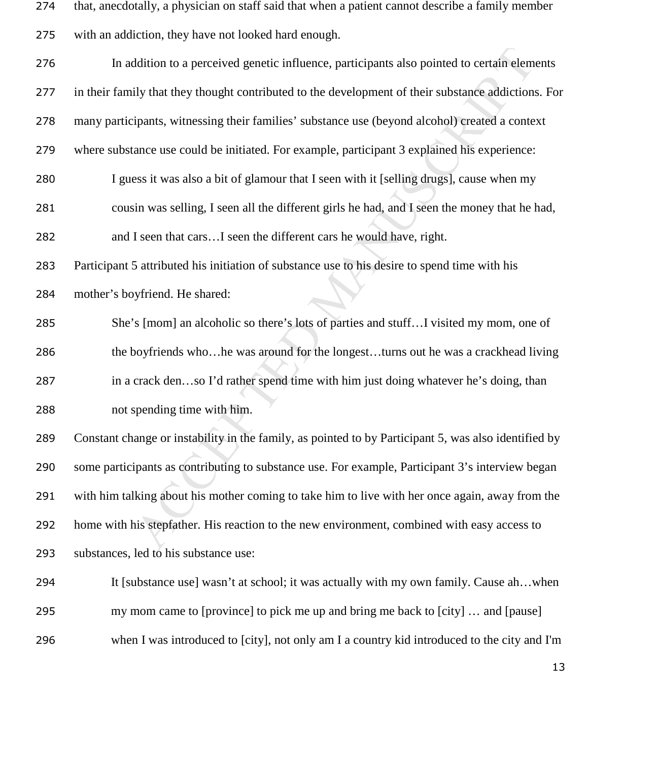that, anecdotally, a physician on staff said that when a patient cannot describe a family member

|  |  |  | 275 with an addiction, they have not looked hard enough. |
|--|--|--|----------------------------------------------------------|
|--|--|--|----------------------------------------------------------|

| 276 | In addition to a perceived genetic influence, participants also pointed to certain elements          |
|-----|------------------------------------------------------------------------------------------------------|
|     |                                                                                                      |
| 277 | in their family that they thought contributed to the development of their substance addictions. For  |
| 278 | many participants, witnessing their families' substance use (beyond alcohol) created a context       |
| 279 | where substance use could be initiated. For example, participant 3 explained his experience:         |
| 280 | I guess it was also a bit of glamour that I seen with it [selling drugs], cause when my              |
| 281 | cousin was selling, I seen all the different girls he had, and I seen the money that he had,         |
| 282 | and I seen that carsI seen the different cars he would have, right.                                  |
| 283 | Participant 5 attributed his initiation of substance use to his desire to spend time with his        |
| 284 | mother's boyfriend. He shared:                                                                       |
| 285 | She's [mom] an alcoholic so there's lots of parties and stuffI visited my mom, one of                |
| 286 | the boyfriends whohe was around for the longestturns out he was a crackhead living                   |
| 287 | in a crack denso I'd rather spend time with him just doing whatever he's doing, than                 |
| 288 | not spending time with him.                                                                          |
| 289 | Constant change or instability in the family, as pointed to by Participant 5, was also identified by |
| 290 | some participants as contributing to substance use. For example, Participant 3's interview began     |
| 291 | with him talking about his mother coming to take him to live with her once again, away from the      |
| 292 | home with his stepfather. His reaction to the new environment, combined with easy access to          |
| 293 | substances, led to his substance use:                                                                |
| 294 | It [substance use] wasn't at school; it was actually with my own family. Cause ahwhen                |
| 295 | my mom came to [province] to pick me up and bring me back to [city]  and [pause]                     |
| 296 | when I was introduced to [city], not only am I a country kid introduced to the city and I'm          |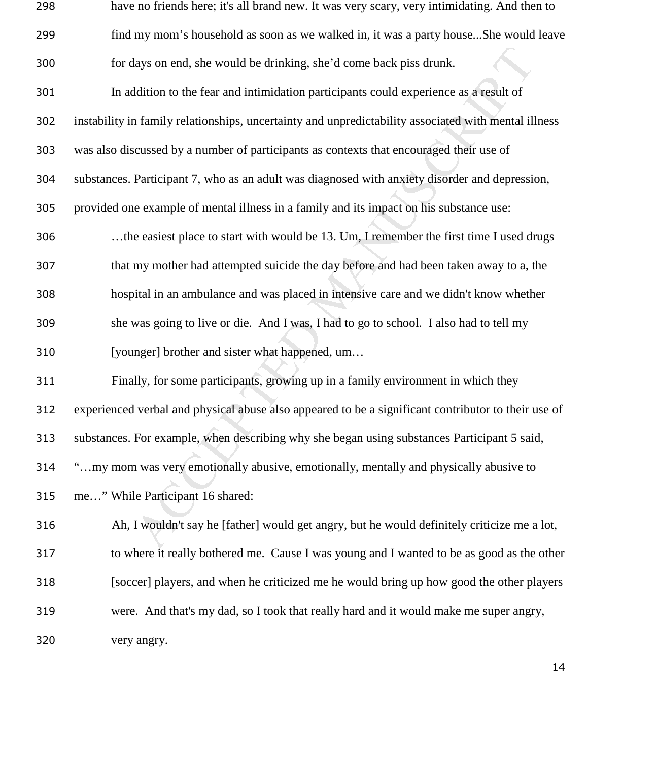| 298 | have no friends here; it's all brand new. It was very scary, very intimidating. And then to          |
|-----|------------------------------------------------------------------------------------------------------|
| 299 | find my mom's household as soon as we walked in, it was a party houseShe would leave                 |
| 300 | for days on end, she would be drinking, she'd come back piss drunk.                                  |
| 301 | In addition to the fear and intimidation participants could experience as a result of                |
| 302 | instability in family relationships, uncertainty and unpredictability associated with mental illness |
| 303 | was also discussed by a number of participants as contexts that encouraged their use of              |
| 304 | substances. Participant 7, who as an adult was diagnosed with anxiety disorder and depression,       |
| 305 | provided one example of mental illness in a family and its impact on his substance use:              |
| 306 | the easiest place to start with would be 13. Um, I remember the first time I used drugs              |
| 307 | that my mother had attempted suicide the day before and had been taken away to a, the                |
| 308 | hospital in an ambulance and was placed in intensive care and we didn't know whether                 |
| 309 | she was going to live or die. And I was, I had to go to school. I also had to tell my                |
| 310 | [younger] brother and sister what happened, um                                                       |
| 311 | Finally, for some participants, growing up in a family environment in which they                     |
| 312 | experienced verbal and physical abuse also appeared to be a significant contributor to their use of  |
| 313 | substances. For example, when describing why she began using substances Participant 5 said,          |
| 314 | "my mom was very emotionally abusive, emotionally, mentally and physically abusive to                |
| 315 | me" While Participant 16 shared:                                                                     |
| 316 | Ah, I wouldn't say he [father] would get angry, but he would definitely criticize me a lot,          |
| 317 | to where it really bothered me. Cause I was young and I wanted to be as good as the other            |
| 318 | [soccer] players, and when he criticized me he would bring up how good the other players             |
| 319 | were. And that's my dad, so I took that really hard and it would make me super angry,                |
| 320 | very angry.                                                                                          |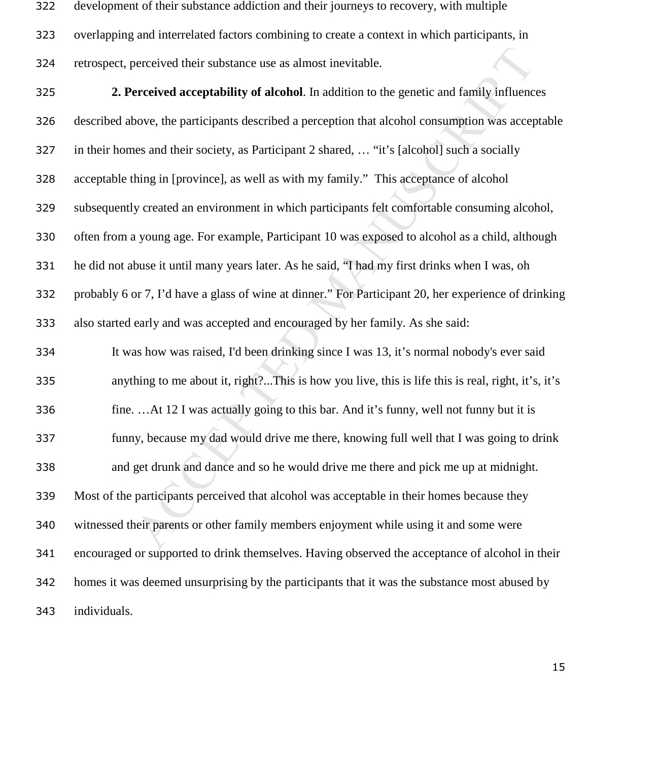development of their substance addiction and their journeys to recovery, with multiple overlapping and interrelated factors combining to create a context in which participants, in retrospect, perceived their substance use as almost inevitable.

between their substance use as almost inevitable.<br>
ereceived acceptability of alcohol. In addition to the genetic and family influence<br>
bove, the participants described a perception that alcohol consumption was accept<br>
ens **2. Perceived acceptability of alcohol**. In addition to the genetic and family influences described above, the participants described a perception that alcohol consumption was acceptable in their homes and their society, as Participant 2 shared, … "it's [alcohol] such a socially acceptable thing in [province], as well as with my family." This acceptance of alcohol subsequently created an environment in which participants felt comfortable consuming alcohol, often from a young age. For example, Participant 10 was exposed to alcohol as a child, although he did not abuse it until many years later. As he said, "I had my first drinks when I was, oh probably 6 or 7, I'd have a glass of wine at dinner." For Participant 20, her experience of drinking also started early and was accepted and encouraged by her family. As she said: It was how was raised, I'd been drinking since I was 13, it's normal nobody's ever said anything to me about it, right?...This is how you live, this is life this is real, right, it's, it's fine. …At 12 I was actually going to this bar. And it's funny, well not funny but it is funny, because my dad would drive me there, knowing full well that I was going to drink and get drunk and dance and so he would drive me there and pick me up at midnight. Most of the participants perceived that alcohol was acceptable in their homes because they witnessed their parents or other family members enjoyment while using it and some were encouraged or supported to drink themselves. Having observed the acceptance of alcohol in their homes it was deemed unsurprising by the participants that it was the substance most abused by individuals.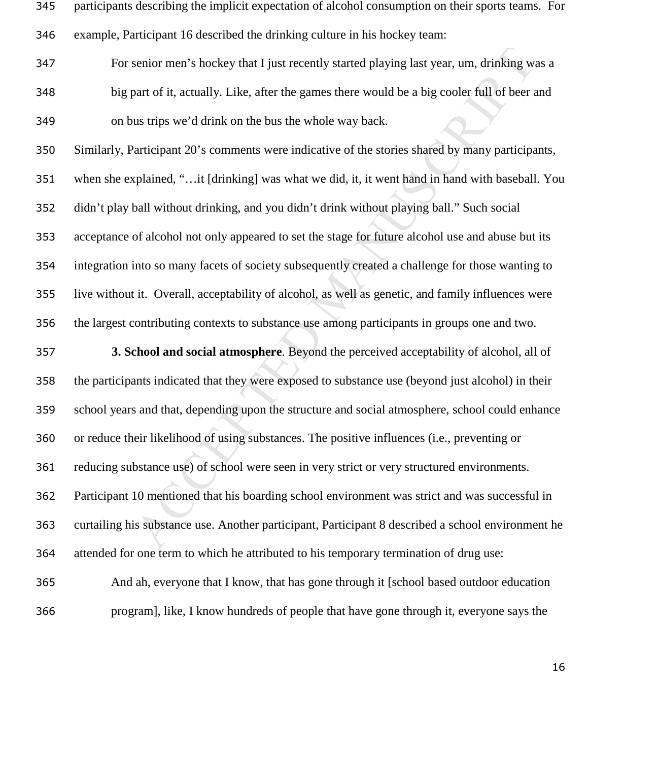| $\overline{345}$ | participants describing the implicit expectation of alcohol consumption on their sports teams. For |
|------------------|----------------------------------------------------------------------------------------------------|
| 346              | example, Participant 16 described the drinking culture in his hockey team:                         |
| 347              | For senior men's hockey that I just recently started playing last year, um, drinking was a         |
| 348              | big part of it, actually. Like, after the games there would be a big cooler full of beer and       |
| 349              | on bus trips we'd drink on the bus the whole way back.                                             |
| 350              | Similarly, Participant 20's comments were indicative of the stories shared by many participants,   |
| 351              | when she explained, "it [drinking] was what we did, it, it went hand in hand with baseball. You    |
| 352              | didn't play ball without drinking, and you didn't drink without playing ball." Such social         |
| 353              | acceptance of alcohol not only appeared to set the stage for future alcohol use and abuse but its  |
| 354              | integration into so many facets of society subsequently created a challenge for those wanting to   |
| 355              | live without it. Overall, acceptability of alcohol, as well as genetic, and family influences were |
| 356              | the largest contributing contexts to substance use among participants in groups one and two.       |
| 357              | 3. School and social atmosphere. Beyond the perceived acceptability of alcohol, all of             |
| 358              | the participants indicated that they were exposed to substance use (beyond just alcohol) in their  |
| 359              | school years and that, depending upon the structure and social atmosphere, school could enhance    |
| 360              | or reduce their likelihood of using substances. The positive influences (i.e., preventing or       |
| 361              | reducing substance use) of school were seen in very strict or very structured environments.        |
| 362              | Participant 10 mentioned that his boarding school environment was strict and was successful in     |
| 363              | curtailing his substance use. Another participant, Participant 8 described a school environment he |
| 364              | attended for one term to which he attributed to his temporary termination of drug use:             |
| 365              | And ah, everyone that I know, that has gone through it [school based outdoor education             |
| 366              | program], like, I know hundreds of people that have gone through it, everyone says the             |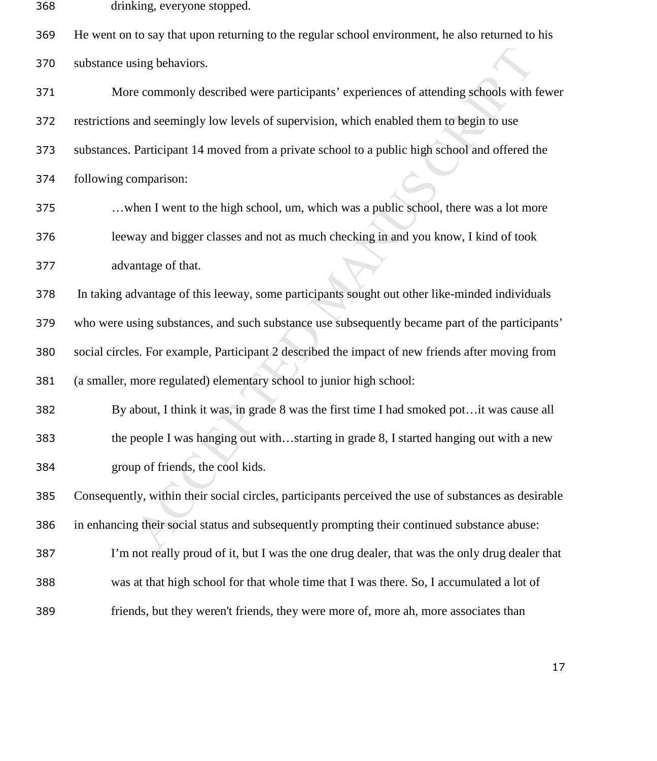drinking, everyone stopped.

He went on to say that upon returning to the regular school environment, he also returned to his substance using behaviors.

sing behaviors.<br>
we commonly described were participants' experiences of attending schools with<br>
and seemingly low levels of supervision, which enabled them to begin to use<br>
Participant 14 moved from a private school to a More commonly described were participants' experiences of attending schools with fewer restrictions and seemingly low levels of supervision, which enabled them to begin to use substances. Participant 14 moved from a private school to a public high school and offered the following comparison: …when I went to the high school, um, which was a public school, there was a lot more leeway and bigger classes and not as much checking in and you know, I kind of took

advantage of that.

In taking advantage of this leeway, some participants sought out other like-minded individuals

who were using substances, and such substance use subsequently became part of the participants'

social circles. For example, Participant 2 described the impact of new friends after moving from

(a smaller, more regulated) elementary school to junior high school:

By about, I think it was, in grade 8 was the first time I had smoked pot…it was cause all the people I was hanging out with…starting in grade 8, I started hanging out with a new group of friends, the cool kids.

Consequently, within their social circles, participants perceived the use of substances as desirable in enhancing their social status and subsequently prompting their continued substance abuse:

I'm not really proud of it, but I was the one drug dealer, that was the only drug dealer that

- was at that high school for that whole time that I was there. So, I accumulated a lot of
- friends, but they weren't friends, they were more of, more ah, more associates than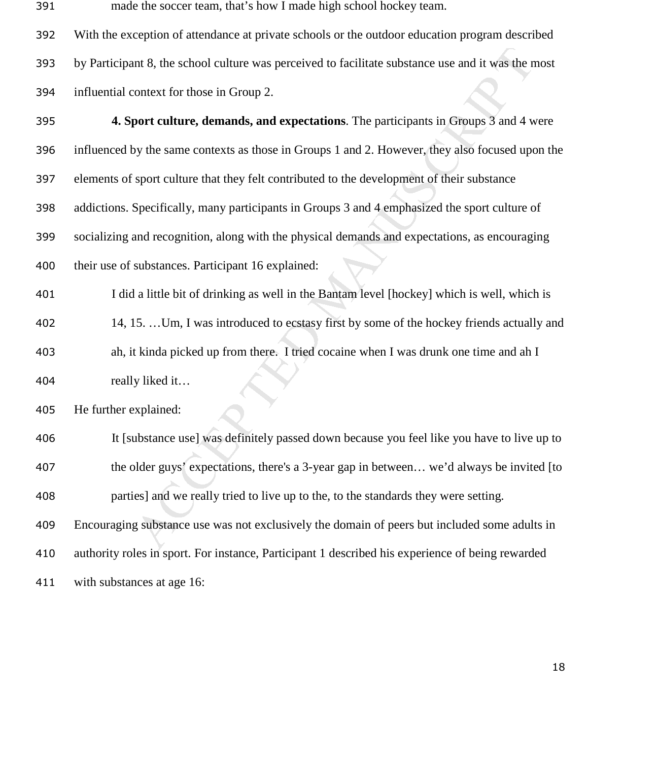- Interest of the school culture was perceived to facilitate substance use and it was the net context for those in Group 2.<br> **Context for those in Group 2.**<br> **Context for those in Group 2.**<br> **Context for those in Group 2.**<br> made the soccer team, that's how I made high school hockey team. With the exception of attendance at private schools or the outdoor education program described by Participant 8, the school culture was perceived to facilitate substance use and it was the most influential context for those in Group 2. **4. Sport culture, demands, and expectations**. The participants in Groups 3 and 4 were influenced by the same contexts as those in Groups 1 and 2. However, they also focused upon the elements of sport culture that they felt contributed to the development of their substance
- addictions. Specifically, many participants in Groups 3 and 4 emphasized the sport culture of socializing and recognition, along with the physical demands and expectations, as encouraging
- their use of substances. Participant 16 explained:
- I did a little bit of drinking as well in the Bantam level [hockey] which is well, which is
- 14, 15. …Um, I was introduced to ecstasy first by some of the hockey friends actually and ah, it kinda picked up from there. I tried cocaine when I was drunk one time and ah I really liked it…

He further explained:

with substances at age 16:

It [substance use] was definitely passed down because you feel like you have to live up to the older guys' expectations, there's a 3-year gap in between… we'd always be invited [to parties] and we really tried to live up to the, to the standards they were setting. Encouraging substance use was not exclusively the domain of peers but included some adults in authority roles in sport. For instance, Participant 1 described his experience of being rewarded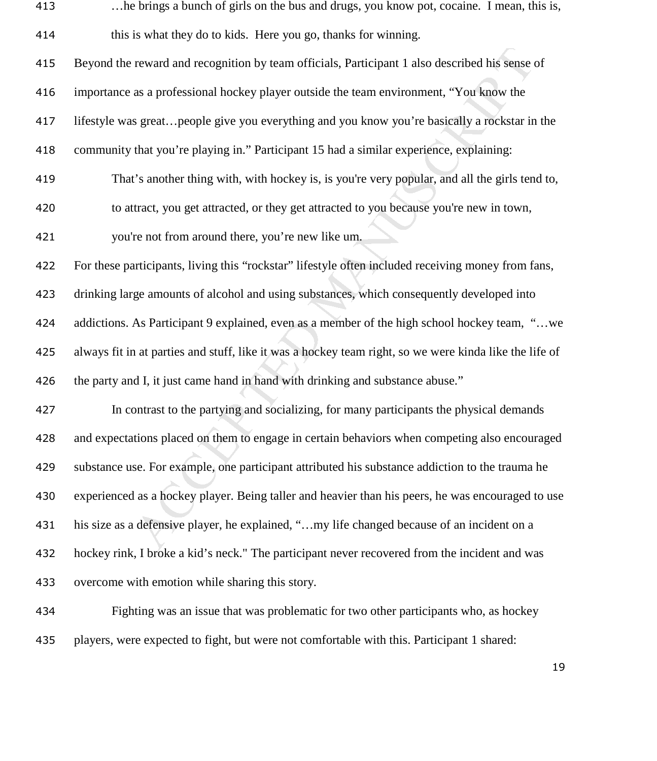| 413 | he brings a bunch of girls on the bus and drugs, you know pot, cocaine. I mean, this is,               |
|-----|--------------------------------------------------------------------------------------------------------|
| 414 | this is what they do to kids. Here you go, thanks for winning.                                         |
| 415 | Beyond the reward and recognition by team officials, Participant 1 also described his sense of         |
| 416 | importance as a professional hockey player outside the team environment, "You know the                 |
| 417 | lifestyle was greatpeople give you everything and you know you're basically a rockstar in the          |
| 418 | community that you're playing in." Participant 15 had a similar experience, explaining:                |
| 419 | That's another thing with, with hockey is, is you're very popular, and all the girls tend to,          |
| 420 | to attract, you get attracted, or they get attracted to you because you're new in town,                |
| 421 | you're not from around there, you're new like um.                                                      |
| 422 | For these participants, living this "rockstar" lifestyle often included receiving money from fans,     |
| 423 | drinking large amounts of alcohol and using substances, which consequently developed into              |
| 424 | addictions. As Participant 9 explained, even as a member of the high school hockey team, "we           |
| 425 | always fit in at parties and stuff, like it was a hockey team right, so we were kinda like the life of |
| 426 | the party and I, it just came hand in hand with drinking and substance abuse."                         |
| 427 | In contrast to the partying and socializing, for many participants the physical demands                |
| 428 | and expectations placed on them to engage in certain behaviors when competing also encouraged          |
| 429 | substance use. For example, one participant attributed his substance addiction to the trauma he        |
| 430 | experienced as a hockey player. Being taller and heavier than his peers, he was encouraged to use      |
| 431 | his size as a defensive player, he explained, "my life changed because of an incident on a             |
| 432 | hockey rink, I broke a kid's neck." The participant never recovered from the incident and was          |
| 433 | overcome with emotion while sharing this story.                                                        |
| 434 | Fighting was an issue that was problematic for two other participants who, as hockey                   |
|     |                                                                                                        |

players, were expected to fight, but were not comfortable with this. Participant 1 shared: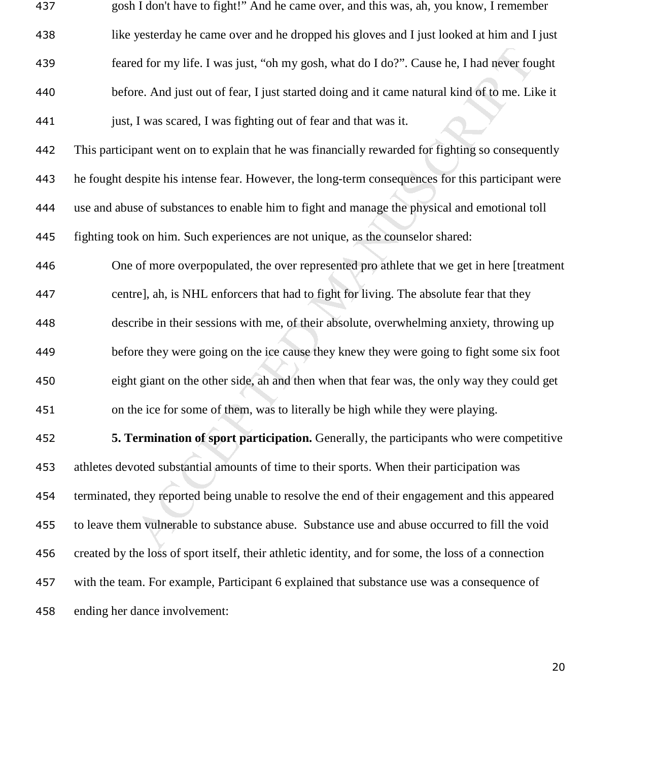| 437 | gosh I don't have to fight!" And he came over, and this was, ah, you know, I remember                |
|-----|------------------------------------------------------------------------------------------------------|
| 438 | like yesterday he came over and he dropped his gloves and I just looked at him and I just            |
| 439 | feared for my life. I was just, "oh my gosh, what do I do?". Cause he, I had never fought            |
| 440 | before. And just out of fear, I just started doing and it came natural kind of to me. Like it        |
| 441 | just, I was scared, I was fighting out of fear and that was it.                                      |
| 442 | This participant went on to explain that he was financially rewarded for fighting so consequently    |
| 443 | he fought despite his intense fear. However, the long-term consequences for this participant were    |
| 444 | use and abuse of substances to enable him to fight and manage the physical and emotional toll        |
| 445 | fighting took on him. Such experiences are not unique, as the counselor shared:                      |
| 446 | One of more overpopulated, the over represented pro athlete that we get in here [treatment           |
| 447 | centre], ah, is NHL enforcers that had to fight for living. The absolute fear that they              |
| 448 | describe in their sessions with me, of their absolute, overwhelming anxiety, throwing up             |
| 449 | before they were going on the ice cause they knew they were going to fight some six foot             |
| 450 | eight giant on the other side, ah and then when that fear was, the only way they could get           |
| 451 | on the ice for some of them, was to literally be high while they were playing.                       |
| 452 | 5. Termination of sport participation. Generally, the participants who were competitive              |
| 453 | athletes devoted substantial amounts of time to their sports. When their participation was           |
| 454 | terminated, they reported being unable to resolve the end of their engagement and this appeared      |
| 455 | to leave them vulnerable to substance abuse. Substance use and abuse occurred to fill the void       |
| 456 | created by the loss of sport itself, their athletic identity, and for some, the loss of a connection |
| 457 | with the team. For example, Participant 6 explained that substance use was a consequence of          |
| 458 | ending her dance involvement:                                                                        |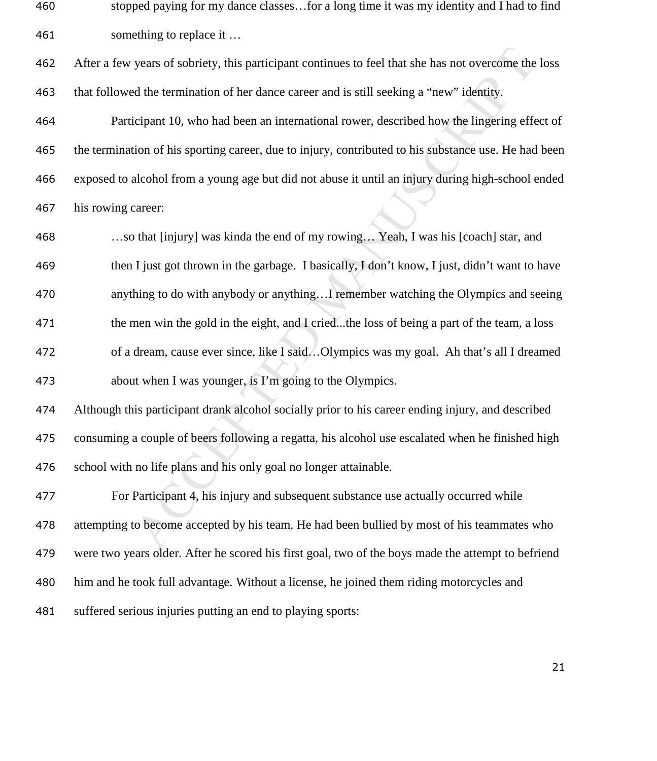stopped paying for my dance classes…for a long time it was my identity and I had to find something to replace it …

After a few years of sobriety, this participant continues to feel that she has not overcome the loss that followed the termination of her dance career and is still seeking a "new" identity.

Participant 10, who had been an international rower, described how the lingering effect of the termination of his sporting career, due to injury, contributed to his substance use. He had been exposed to alcohol from a young age but did not abuse it until an injury during high-school ended his rowing career:

years of sobriety, this participant continues to feel that she has not overcome the<br>d the termination of her dance career and is still seeking a "new" identity.<br>
Eipant 10, who had been an international rower, described ho …so that [injury] was kinda the end of my rowing… Yeah, I was his [coach] star, and then I just got thrown in the garbage. I basically, I don't know, I just, didn't want to have anything to do with anybody or anything…I remember watching the Olympics and seeing the men win the gold in the eight, and I cried...the loss of being a part of the team, a loss of a dream, cause ever since, like I said…Olympics was my goal. Ah that's all I dreamed about when I was younger, is I'm going to the Olympics.

Although this participant drank alcohol socially prior to his career ending injury, and described consuming a couple of beers following a regatta, his alcohol use escalated when he finished high school with no life plans and his only goal no longer attainable.

For Participant 4, his injury and subsequent substance use actually occurred while attempting to become accepted by his team. He had been bullied by most of his teammates who were two years older. After he scored his first goal, two of the boys made the attempt to befriend him and he took full advantage. Without a license, he joined them riding motorcycles and suffered serious injuries putting an end to playing sports: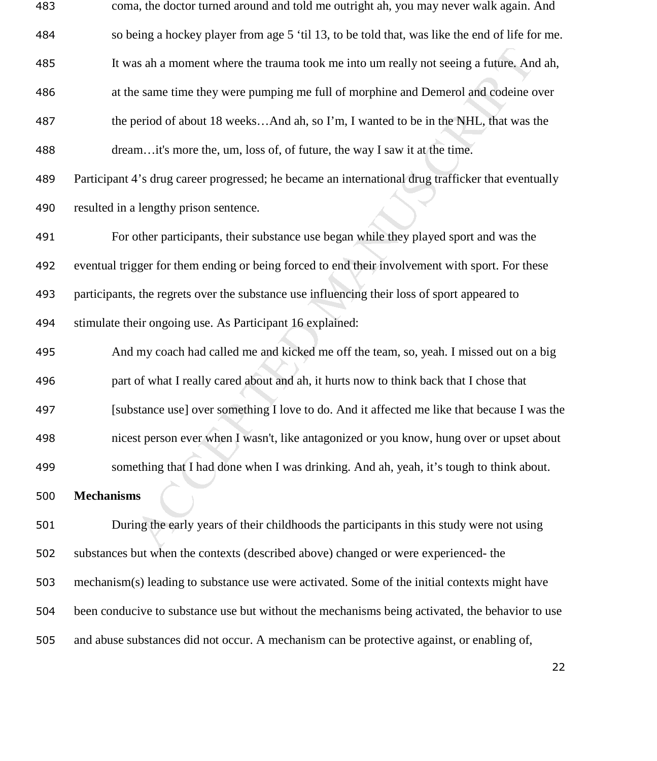| coma, the doctor turned around and told me outright ah, you may never walk again. And              |
|----------------------------------------------------------------------------------------------------|
| so being a hockey player from age 5 'til 13, to be told that, was like the end of life for me.     |
| It was ah a moment where the trauma took me into um really not seeing a future. And ah,            |
| at the same time they were pumping me full of morphine and Demerol and codeine over                |
| the period of about 18 weeksAnd ah, so I'm, I wanted to be in the NHL, that was the                |
| dreamit's more the, um, loss of, of future, the way I saw it at the time.                          |
| Participant 4's drug career progressed; he became an international drug trafficker that eventually |
| resulted in a lengthy prison sentence.                                                             |
| For other participants, their substance use began while they played sport and was the              |
| eventual trigger for them ending or being forced to end their involvement with sport. For these    |
| participants, the regrets over the substance use influencing their loss of sport appeared to       |
| stimulate their ongoing use. As Participant 16 explained:                                          |
| And my coach had called me and kicked me off the team, so, yeah. I missed out on a big             |
| part of what I really cared about and ah, it hurts now to think back that I chose that             |
| [substance use] over something I love to do. And it affected me like that because I was the        |
| nicest person ever when I wasn't, like antagonized or you know, hung over or upset about           |
| something that I had done when I was drinking. And ah, yeah, it's tough to think about.            |
| <b>Mechanisms</b>                                                                                  |
| During the early years of their childhoods the participants in this study were not using           |
| substances but when the contexts (described above) changed or were experienced- the                |
| mechanism(s) leading to substance use were activated. Some of the initial contexts might have      |
| been conducive to substance use but without the mechanisms being activated, the behavior to use    |
| and abuse substances did not occur. A mechanism can be protective against, or enabling of,         |
|                                                                                                    |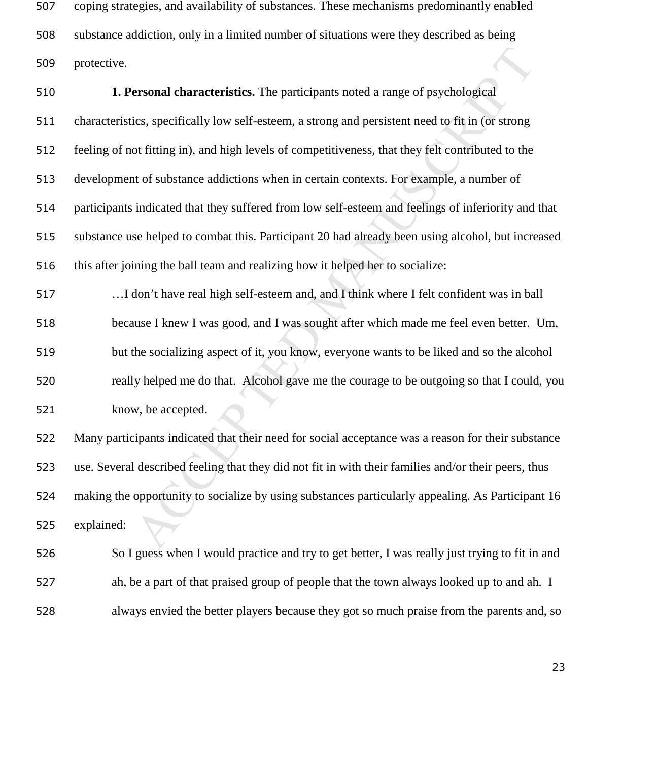coping strategies, and availability of substances. These mechanisms predominantly enabled substance addiction, only in a limited number of situations were they described as being protective.

ersonal characteristics. The participants noted a range of psychological<br>ics, specifically low self-esteem, a strong and persistent need to fit in (or strong<br>of titting in), and high levels of competitiveness, that they fe **1. Personal characteristics.** The participants noted a range of psychological characteristics, specifically low self-esteem, a strong and persistent need to fit in (or strong feeling of not fitting in), and high levels of competitiveness, that they felt contributed to the development of substance addictions when in certain contexts. For example, a number of participants indicated that they suffered from low self-esteem and feelings of inferiority and that substance use helped to combat this. Participant 20 had already been using alcohol, but increased this after joining the ball team and realizing how it helped her to socialize: …I don't have real high self-esteem and, and I think where I felt confident was in ball because I knew I was good, and I was sought after which made me feel even better. Um, but the socializing aspect of it, you know, everyone wants to be liked and so the alcohol really helped me do that. Alcohol gave me the courage to be outgoing so that I could, you know, be accepted. Many participants indicated that their need for social acceptance was a reason for their substance

use. Several described feeling that they did not fit in with their families and/or their peers, thus making the opportunity to socialize by using substances particularly appealing. As Participant 16 explained:

So I guess when I would practice and try to get better, I was really just trying to fit in and ah, be a part of that praised group of people that the town always looked up to and ah. I always envied the better players because they got so much praise from the parents and, so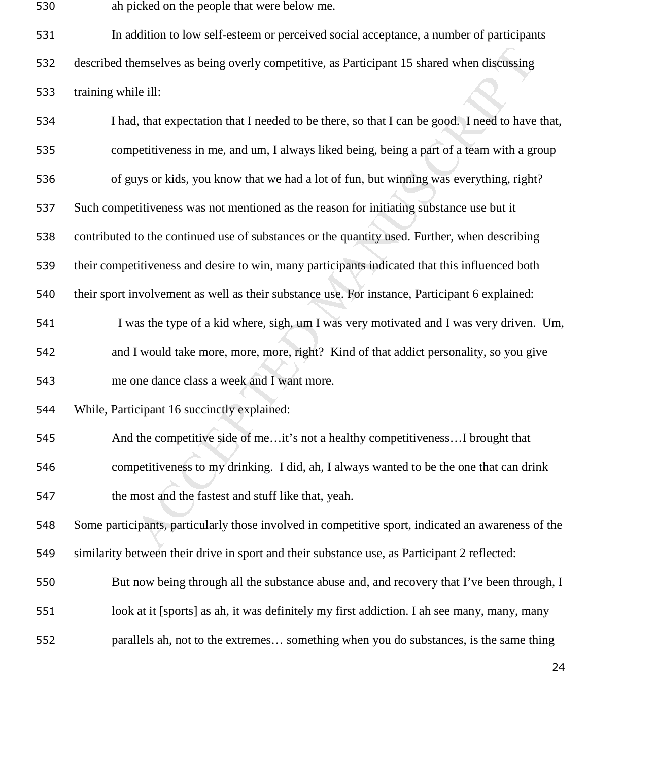ah picked on the people that were below me.

In addition to low self-esteem or perceived social acceptance, a number of participants described themselves as being overly competitive, as Participant 15 shared when discussing training while ill:

nemselves as being overly competitive, as Participant 15 shared when discussing<br>ile ill:<br>t, that expectation that I needed to be there, so that I can be good. I need to have<br>petitiveness in me, and um, I always liked being I had, that expectation that I needed to be there, so that I can be good. I need to have that, competitiveness in me, and um, I always liked being, being a part of a team with a group 536 of guys or kids, you know that we had a lot of fun, but winning was everything, right? Such competitiveness was not mentioned as the reason for initiating substance use but it contributed to the continued use of substances or the quantity used. Further, when describing their competitiveness and desire to win, many participants indicated that this influenced both their sport involvement as well as their substance use. For instance, Participant 6 explained: I was the type of a kid where, sigh, um I was very motivated and I was very driven. Um, and I would take more, more, more, right? Kind of that addict personality, so you give me one dance class a week and I want more. While, Participant 16 succinctly explained: And the competitive side of me…it's not a healthy competitiveness…I brought that competitiveness to my drinking. I did, ah, I always wanted to be the one that can drink the most and the fastest and stuff like that, yeah. Some participants, particularly those involved in competitive sport, indicated an awareness of the similarity between their drive in sport and their substance use, as Participant 2 reflected: But now being through all the substance abuse and, and recovery that I've been through, I look at it [sports] as ah, it was definitely my first addiction. I ah see many, many, many parallels ah, not to the extremes… something when you do substances, is the same thing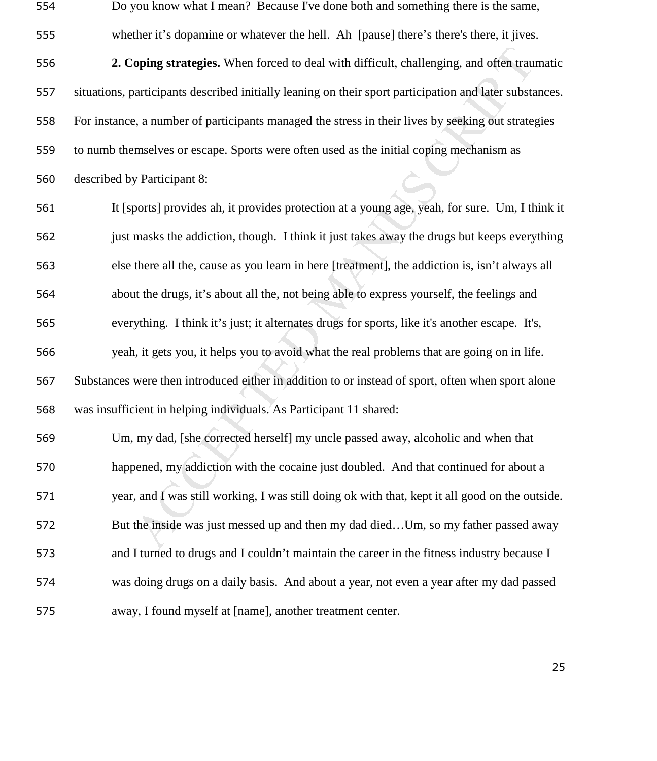Do you know what I mean? Because I've done both and something there is the same, whether it's dopamine or whatever the hell. Ah [pause] there's there's there, it jives.

**2. Coping strategies.** When forced to deal with difficult, challenging, and often traumatic situations, participants described initially leaning on their sport participation and later substances. For instance, a number of participants managed the stress in their lives by seeking out strategies to numb themselves or escape. Sports were often used as the initial coping mechanism as

described by Participant 8:

**Coping strategies.** When forced to deal with difficult, challenging, and often trausar<br>tricipants described initially leaning on their sport participation and later substs, a number of participants managed the stress in t It [sports] provides ah, it provides protection at a young age, yeah, for sure. Um, I think it just masks the addiction, though. I think it just takes away the drugs but keeps everything else there all the, cause as you learn in here [treatment], the addiction is, isn't always all about the drugs, it's about all the, not being able to express yourself, the feelings and everything. I think it's just; it alternates drugs for sports, like it's another escape. It's, yeah, it gets you, it helps you to avoid what the real problems that are going on in life. Substances were then introduced either in addition to or instead of sport, often when sport alone was insufficient in helping individuals. As Participant 11 shared:

Um, my dad, [she corrected herself] my uncle passed away, alcoholic and when that happened, my addiction with the cocaine just doubled. And that continued for about a year, and I was still working, I was still doing ok with that, kept it all good on the outside. But the inside was just messed up and then my dad died…Um, so my father passed away and I turned to drugs and I couldn't maintain the career in the fitness industry because I was doing drugs on a daily basis. And about a year, not even a year after my dad passed away, I found myself at [name], another treatment center.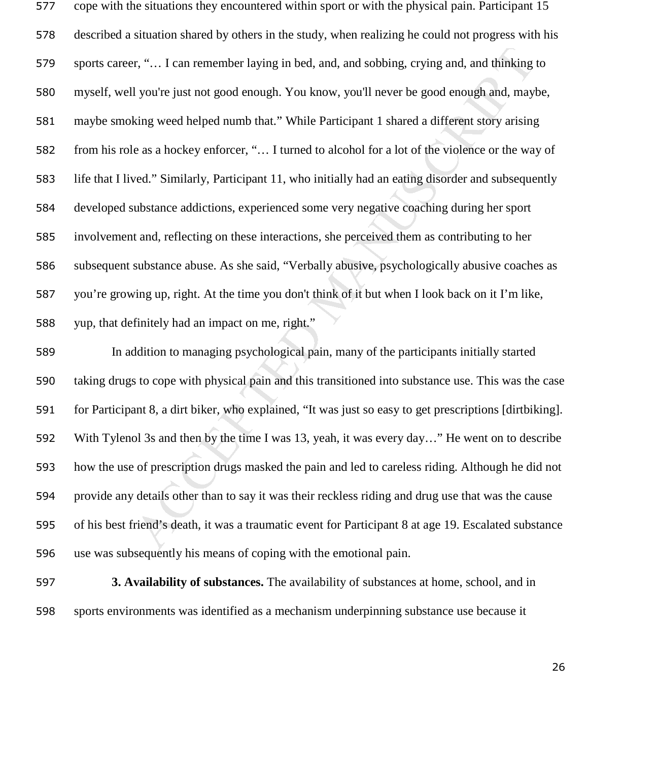er, "... I can remember laying in bed, and, and sobbing, crying and, and thinking<br>1 you're just not good enough. You know, you'll never be good enough and, may<br>king weed helped numb that." While Participant 1 shared a diff cope with the situations they encountered within sport or with the physical pain. Participant 15 described a situation shared by others in the study, when realizing he could not progress with his sports career, "… I can remember laying in bed, and, and sobbing, crying and, and thinking to myself, well you're just not good enough. You know, you'll never be good enough and, maybe, maybe smoking weed helped numb that." While Participant 1 shared a different story arising from his role as a hockey enforcer, "… I turned to alcohol for a lot of the violence or the way of life that I lived." Similarly, Participant 11, who initially had an eating disorder and subsequently developed substance addictions, experienced some very negative coaching during her sport involvement and, reflecting on these interactions, she perceived them as contributing to her subsequent substance abuse. As she said, "Verbally abusive, psychologically abusive coaches as you're growing up, right. At the time you don't think of it but when I look back on it I'm like, yup, that definitely had an impact on me, right."

In addition to managing psychological pain, many of the participants initially started taking drugs to cope with physical pain and this transitioned into substance use. This was the case for Participant 8, a dirt biker, who explained, "It was just so easy to get prescriptions [dirtbiking]. With Tylenol 3s and then by the time I was 13, yeah, it was every day…" He went on to describe how the use of prescription drugs masked the pain and led to careless riding. Although he did not provide any details other than to say it was their reckless riding and drug use that was the cause of his best friend's death, it was a traumatic event for Participant 8 at age 19. Escalated substance use was subsequently his means of coping with the emotional pain.

**3. Availability of substances.** The availability of substances at home, school, and in sports environments was identified as a mechanism underpinning substance use because it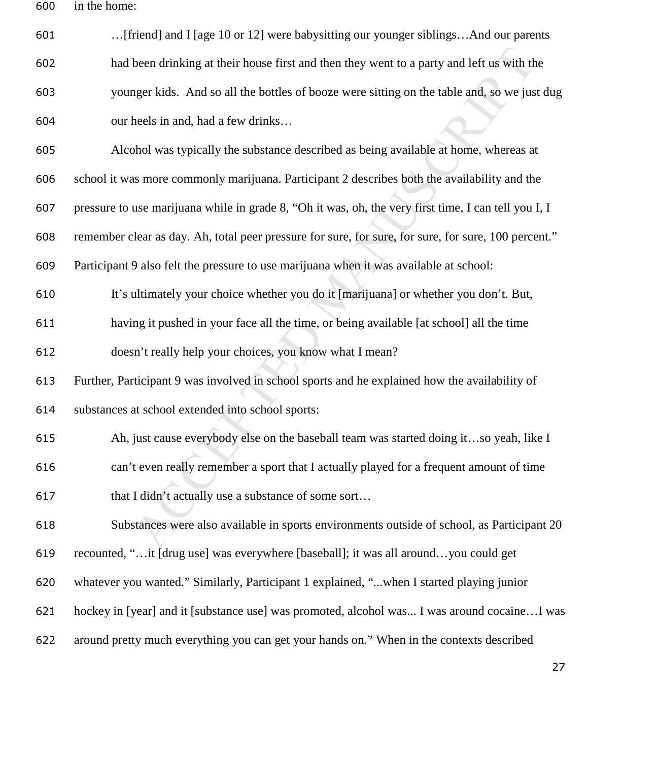in the home:

| 601 | [friend] and I [age 10 or 12] were babysitting our younger siblingsAnd our parents                   |
|-----|------------------------------------------------------------------------------------------------------|
| 602 | had been drinking at their house first and then they went to a party and left us with the            |
| 603 | younger kids. And so all the bottles of booze were sitting on the table and, so we just dug          |
| 604 | our heels in and, had a few drinks                                                                   |
| 605 | Alcohol was typically the substance described as being available at home, whereas at                 |
| 606 | school it was more commonly marijuana. Participant 2 describes both the availability and the         |
| 607 | pressure to use marijuana while in grade 8, "Oh it was, oh, the very first time, I can tell you I, I |
| 608 | remember clear as day. Ah, total peer pressure for sure, for sure, for sure, for sure, 100 percent." |
| 609 | Participant 9 also felt the pressure to use marijuana when it was available at school:               |
| 610 | It's ultimately your choice whether you do it [marijuana] or whether you don't. But,                 |
| 611 | having it pushed in your face all the time, or being available [at school] all the time              |
| 612 | doesn't really help your choices, you know what I mean?                                              |
| 613 | Further, Participant 9 was involved in school sports and he explained how the availability of        |
| 614 | substances at school extended into school sports:                                                    |
| 615 | Ah, just cause everybody else on the baseball team was started doing itso yeah, like I               |
| 616 | can't even really remember a sport that I actually played for a frequent amount of time              |
| 617 | that I didn't actually use a substance of some sort                                                  |
| 618 | Substances were also available in sports environments outside of school, as Participant 20           |
| 619 | recounted, "it [drug use] was everywhere [baseball]; it was all aroundyou could get                  |
| 620 | whatever you wanted." Similarly, Participant 1 explained, "when I started playing junior             |
| 621 | hockey in [year] and it [substance use] was promoted, alcohol was I was around cocaine I was         |
| 622 | around pretty much everything you can get your hands on." When in the contexts described             |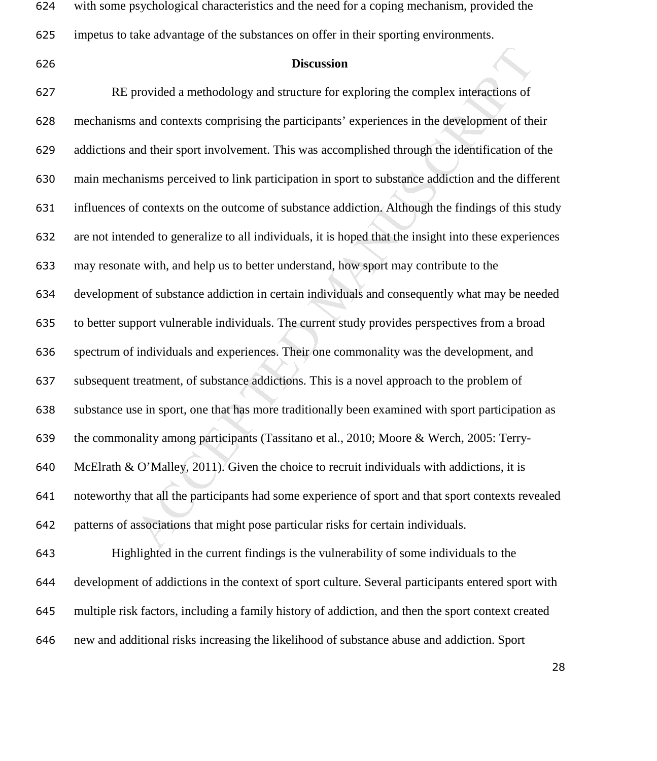| 624 | with some psychological characteristics and the need for a coping mechanism, provided the              |
|-----|--------------------------------------------------------------------------------------------------------|
| 625 | impetus to take advantage of the substances on offer in their sporting environments.                   |
| 626 | <b>Discussion</b>                                                                                      |
| 627 | RE provided a methodology and structure for exploring the complex interactions of                      |
| 628 | mechanisms and contexts comprising the participants' experiences in the development of their           |
| 629 | addictions and their sport involvement. This was accomplished through the identification of the        |
| 630 | main mechanisms perceived to link participation in sport to substance addiction and the different      |
| 631 | influences of contexts on the outcome of substance addiction. Although the findings of this study      |
| 632 | are not intended to generalize to all individuals, it is hoped that the insight into these experiences |
| 633 | may resonate with, and help us to better understand, how sport may contribute to the                   |
| 634 | development of substance addiction in certain individuals and consequently what may be needed          |
| 635 | to better support vulnerable individuals. The current study provides perspectives from a broad         |
| 636 | spectrum of individuals and experiences. Their one commonality was the development, and                |
| 637 | subsequent treatment, of substance addictions. This is a novel approach to the problem of              |
| 638 | substance use in sport, one that has more traditionally been examined with sport participation as      |
| 639 | the commonality among participants (Tassitano et al., 2010; Moore & Werch, 2005: Terry-                |
| 640 | McElrath & O'Malley, 2011). Given the choice to recruit individuals with addictions, it is             |
| 641 | noteworthy that all the participants had some experience of sport and that sport contexts revealed     |
| 642 | patterns of associations that might pose particular risks for certain individuals.                     |
| 643 | Highlighted in the current findings is the vulnerability of some individuals to the                    |
| 644 | development of addictions in the context of sport culture. Several participants entered sport with     |
| 645 | multiple risk factors, including a family history of addiction, and then the sport context created     |
| 646 | new and additional risks increasing the likelihood of substance abuse and addiction. Sport             |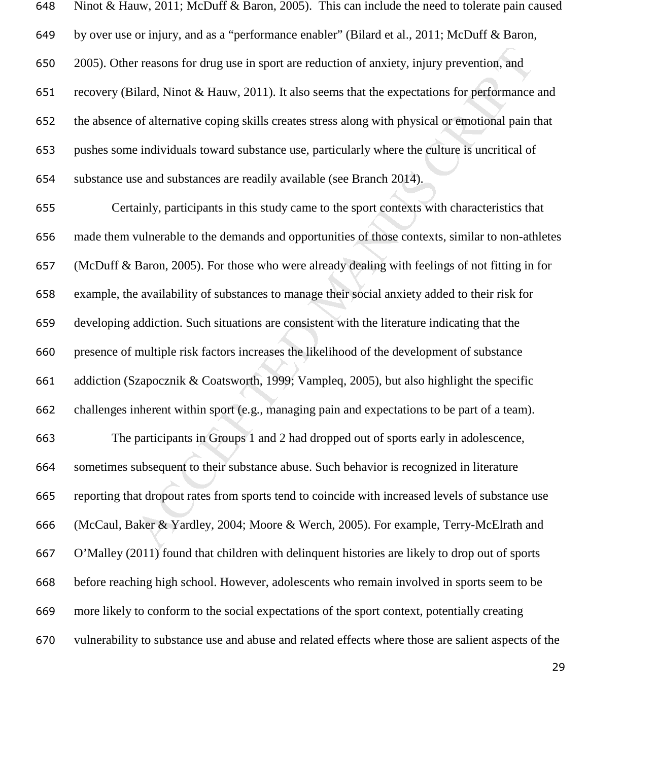| 648 | Ninot & Hauw, 2011; McDuff & Baron, 2005). This can include the need to tolerate pain caused        |
|-----|-----------------------------------------------------------------------------------------------------|
| 649 | by over use or injury, and as a "performance enabler" (Bilard et al., 2011; McDuff & Baron,         |
| 650 | 2005). Other reasons for drug use in sport are reduction of anxiety, injury prevention, and         |
| 651 | recovery (Bilard, Ninot & Hauw, 2011). It also seems that the expectations for performance and      |
| 652 | the absence of alternative coping skills creates stress along with physical or emotional pain that  |
| 653 | pushes some individuals toward substance use, particularly where the culture is uncritical of       |
| 654 | substance use and substances are readily available (see Branch 2014).                               |
| 655 | Certainly, participants in this study came to the sport contexts with characteristics that          |
| 656 | made them vulnerable to the demands and opportunities of those contexts, similar to non-athletes    |
| 657 | (McDuff & Baron, 2005). For those who were already dealing with feelings of not fitting in for      |
| 658 | example, the availability of substances to manage their social anxiety added to their risk for      |
| 659 | developing addiction. Such situations are consistent with the literature indicating that the        |
| 660 | presence of multiple risk factors increases the likelihood of the development of substance          |
| 661 | addiction (Szapocznik & Coatsworth, 1999; Vampleq, 2005), but also highlight the specific           |
| 662 | challenges inherent within sport (e.g., managing pain and expectations to be part of a team).       |
| 663 | The participants in Groups 1 and 2 had dropped out of sports early in adolescence,                  |
| 664 | sometimes subsequent to their substance abuse. Such behavior is recognized in literature            |
| 665 | reporting that dropout rates from sports tend to coincide with increased levels of substance use    |
| 666 | (McCaul, Baker & Yardley, 2004; Moore & Werch, 2005). For example, Terry-McElrath and               |
| 667 | O'Malley (2011) found that children with delinquent histories are likely to drop out of sports      |
| 668 | before reaching high school. However, adolescents who remain involved in sports seem to be          |
| 669 | more likely to conform to the social expectations of the sport context, potentially creating        |
| 670 | vulnerability to substance use and abuse and related effects where those are salient aspects of the |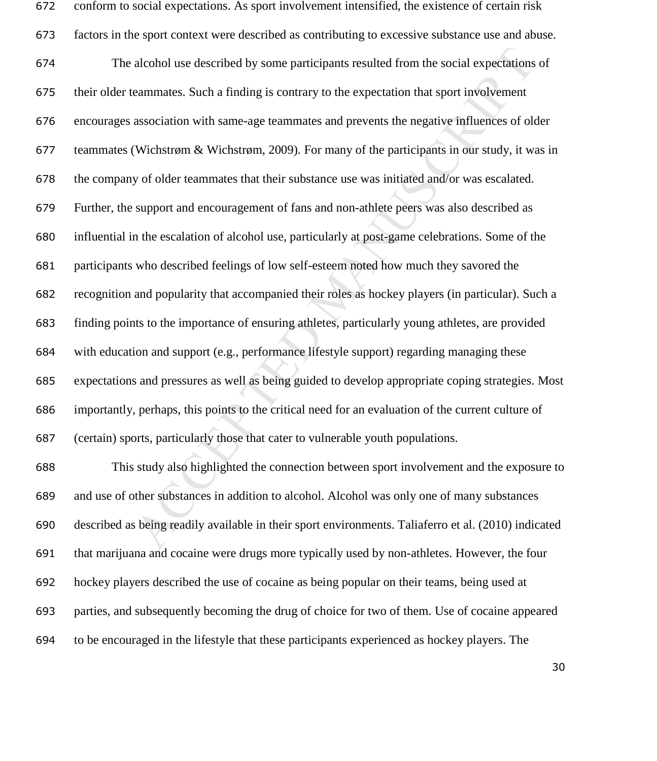| 672 | conform to social expectations. As sport involvement intensified, the existence of certain risk      |
|-----|------------------------------------------------------------------------------------------------------|
| 673 | factors in the sport context were described as contributing to excessive substance use and abuse.    |
| 674 | The alcohol use described by some participants resulted from the social expectations of              |
| 675 | their older teammates. Such a finding is contrary to the expectation that sport involvement          |
| 676 | encourages association with same-age teammates and prevents the negative influences of older         |
| 677 | teammates (Wichstrøm & Wichstrøm, 2009). For many of the participants in our study, it was in        |
| 678 | the company of older teammates that their substance use was initiated and/or was escalated.          |
| 679 | Further, the support and encouragement of fans and non-athlete peers was also described as           |
| 680 | influential in the escalation of alcohol use, particularly at post-game celebrations. Some of the    |
| 681 | participants who described feelings of low self-esteem noted how much they savored the               |
| 682 | recognition and popularity that accompanied their roles as hockey players (in particular). Such a    |
| 683 | finding points to the importance of ensuring athletes, particularly young athletes, are provided     |
| 684 | with education and support (e.g., performance lifestyle support) regarding managing these            |
| 685 | expectations and pressures as well as being guided to develop appropriate coping strategies. Most    |
| 686 | importantly, perhaps, this points to the critical need for an evaluation of the current culture of   |
| 687 | (certain) sports, particularly those that cater to vulnerable youth populations.                     |
| 688 | This study also highlighted the connection between sport involvement and the exposure to             |
| 689 | and use of other substances in addition to alcohol. Alcohol was only one of many substances          |
| 690 | described as being readily available in their sport environments. Taliaferro et al. (2010) indicated |
| 691 | that marijuana and cocaine were drugs more typically used by non-athletes. However, the four         |
| 692 | hockey players described the use of cocaine as being popular on their teams, being used at           |
| 693 | parties, and subsequently becoming the drug of choice for two of them. Use of cocaine appeared       |
| 694 | to be encouraged in the lifestyle that these participants experienced as hockey players. The         |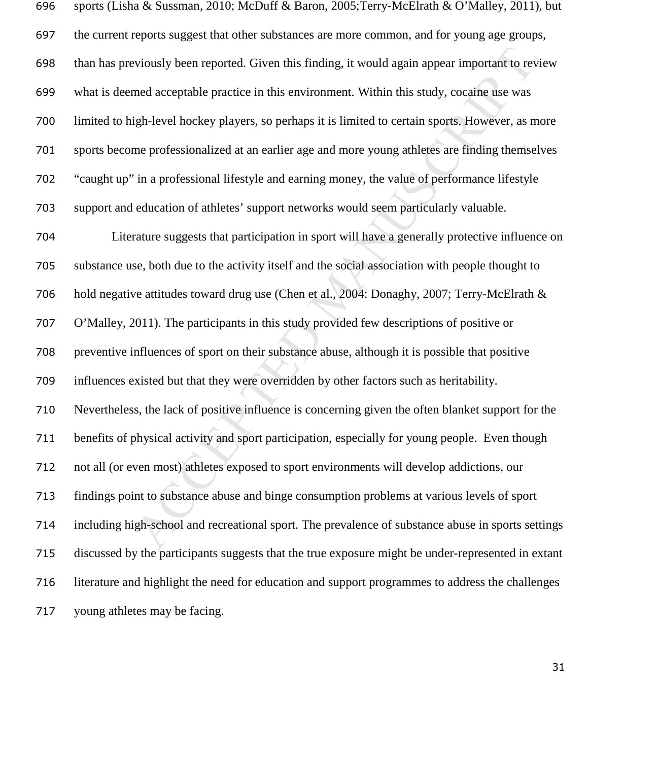| 696 | sports (Lisha & Sussman, 2010; McDuff & Baron, 2005; Terry-McElrath & O'Malley, 2011), but         |
|-----|----------------------------------------------------------------------------------------------------|
| 697 | the current reports suggest that other substances are more common, and for young age groups,       |
| 698 | than has previously been reported. Given this finding, it would again appear important to review   |
| 699 | what is deemed acceptable practice in this environment. Within this study, cocaine use was         |
| 700 | limited to high-level hockey players, so perhaps it is limited to certain sports. However, as more |
| 701 | sports become professionalized at an earlier age and more young athletes are finding themselves    |
| 702 | "caught up" in a professional lifestyle and earning money, the value of performance lifestyle      |
| 703 | support and education of athletes' support networks would seem particularly valuable.              |
| 704 | Literature suggests that participation in sport will have a generally protective influence on      |
| 705 | substance use, both due to the activity itself and the social association with people thought to   |
| 706 | hold negative attitudes toward drug use (Chen et al., 2004: Donaghy, 2007; Terry-McElrath &        |
| 707 | O'Malley, 2011). The participants in this study provided few descriptions of positive or           |
| 708 | preventive influences of sport on their substance abuse, although it is possible that positive     |
| 709 | influences existed but that they were overridden by other factors such as heritability.            |
| 710 | Nevertheless, the lack of positive influence is concerning given the often blanket support for the |
| 711 | benefits of physical activity and sport participation, especially for young people. Even though    |
| 712 | not all (or even most) athletes exposed to sport environments will develop addictions, our         |
| 713 | findings point to substance abuse and binge consumption problems at various levels of sport        |
| 714 | including high-school and recreational sport. The prevalence of substance abuse in sports settings |
| 715 | discussed by the participants suggests that the true exposure might be under-represented in extant |
| 716 | literature and highlight the need for education and support programmes to address the challenges   |
| 717 | young athletes may be facing.                                                                      |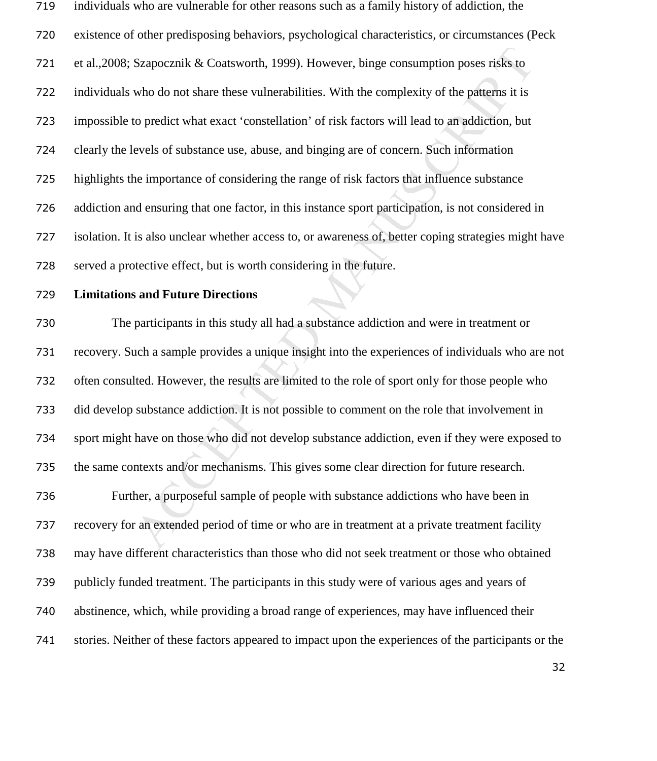individuals who are vulnerable for other reasons such as a family history of addiction, the existence of other predisposing behaviors, psychological characteristics, or circumstances (Peck et al.,2008; Szapocznik & Coatsworth, 1999). However, binge consumption poses risks to individuals who do not share these vulnerabilities. With the complexity of the patterns it is impossible to predict what exact 'constellation' of risk factors will lead to an addiction, but clearly the levels of substance use, abuse, and binging are of concern. Such information highlights the importance of considering the range of risk factors that influence substance addiction and ensuring that one factor, in this instance sport participation, is not considered in isolation. It is also unclear whether access to, or awareness of, better coping strategies might have served a protective effect, but is worth considering in the future.

### **Limitations and Future Directions**

Szapocznik & Coatsworth, 1999). However, binge consumption poses risks to<br>who do not share these vulnerabilities. With the complexity of the patterns it is<br>to predict what exact 'constellation' of risk factors will lead to The participants in this study all had a substance addiction and were in treatment or recovery. Such a sample provides a unique insight into the experiences of individuals who are not often consulted. However, the results are limited to the role of sport only for those people who did develop substance addiction. It is not possible to comment on the role that involvement in sport might have on those who did not develop substance addiction, even if they were exposed to the same contexts and/or mechanisms. This gives some clear direction for future research. Further, a purposeful sample of people with substance addictions who have been in recovery for an extended period of time or who are in treatment at a private treatment facility may have different characteristics than those who did not seek treatment or those who obtained publicly funded treatment. The participants in this study were of various ages and years of abstinence, which, while providing a broad range of experiences, may have influenced their stories. Neither of these factors appeared to impact upon the experiences of the participants or the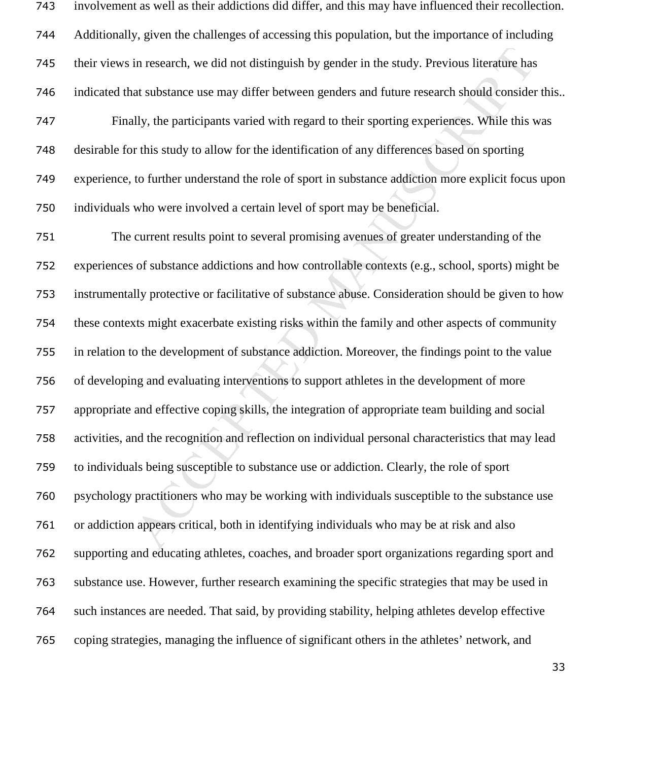involvement as well as their addictions did differ, and this may have influenced their recollection. Additionally, given the challenges of accessing this population, but the importance of including their views in research, we did not distinguish by gender in the study. Previous literature has indicated that substance use may differ between genders and future research should consider this.. Finally, the participants varied with regard to their sporting experiences. While this was desirable for this study to allow for the identification of any differences based on sporting experience, to further understand the role of sport in substance addiction more explicit focus upon individuals who were involved a certain level of sport may be beneficial.

in research, we did not distinguish by gender in the study. Previous literature has at substance use may differ between genders and future research should consider at substance use may differ between genders and future res The current results point to several promising avenues of greater understanding of the experiences of substance addictions and how controllable contexts (e.g., school, sports) might be instrumentally protective or facilitative of substance abuse. Consideration should be given to how these contexts might exacerbate existing risks within the family and other aspects of community in relation to the development of substance addiction. Moreover, the findings point to the value of developing and evaluating interventions to support athletes in the development of more appropriate and effective coping skills, the integration of appropriate team building and social activities, and the recognition and reflection on individual personal characteristics that may lead to individuals being susceptible to substance use or addiction. Clearly, the role of sport psychology practitioners who may be working with individuals susceptible to the substance use or addiction appears critical, both in identifying individuals who may be at risk and also supporting and educating athletes, coaches, and broader sport organizations regarding sport and substance use. However, further research examining the specific strategies that may be used in such instances are needed. That said, by providing stability, helping athletes develop effective coping strategies, managing the influence of significant others in the athletes' network, and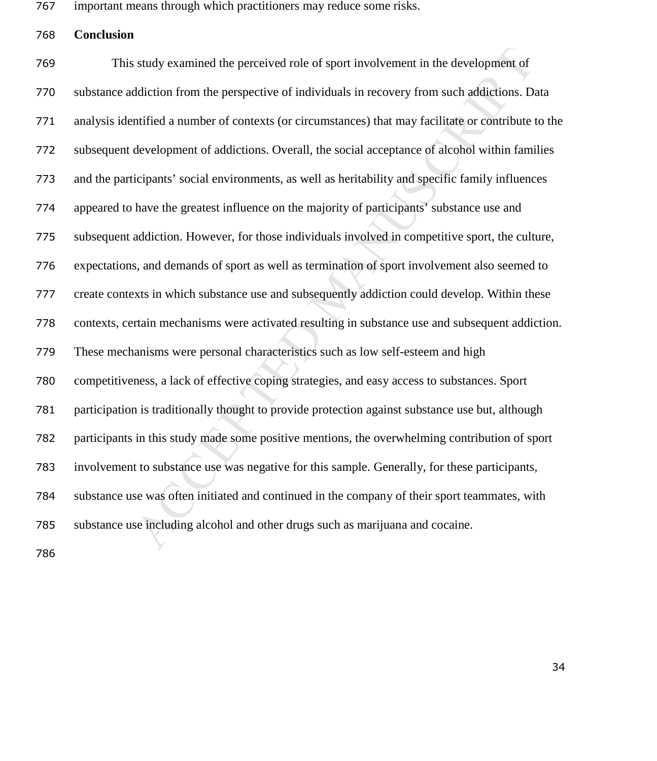important means through which practitioners may reduce some risks.

**Conclusion** 

is study examined the perceived role of sport involvement in the development of<br>ddiction from the perspective of individuals in recovery from such addictions. D.<br>mified a number of contexts (or circumstances) that may faci This study examined the perceived role of sport involvement in the development of substance addiction from the perspective of individuals in recovery from such addictions. Data analysis identified a number of contexts (or circumstances) that may facilitate or contribute to the subsequent development of addictions. Overall, the social acceptance of alcohol within families and the participants' social environments, as well as heritability and specific family influences appeared to have the greatest influence on the majority of participants' substance use and subsequent addiction. However, for those individuals involved in competitive sport, the culture, expectations, and demands of sport as well as termination of sport involvement also seemed to create contexts in which substance use and subsequently addiction could develop. Within these contexts, certain mechanisms were activated resulting in substance use and subsequent addiction. These mechanisms were personal characteristics such as low self-esteem and high competitiveness, a lack of effective coping strategies, and easy access to substances. Sport participation is traditionally thought to provide protection against substance use but, although participants in this study made some positive mentions, the overwhelming contribution of sport involvement to substance use was negative for this sample. Generally, for these participants, substance use was often initiated and continued in the company of their sport teammates, with substance use including alcohol and other drugs such as marijuana and cocaine.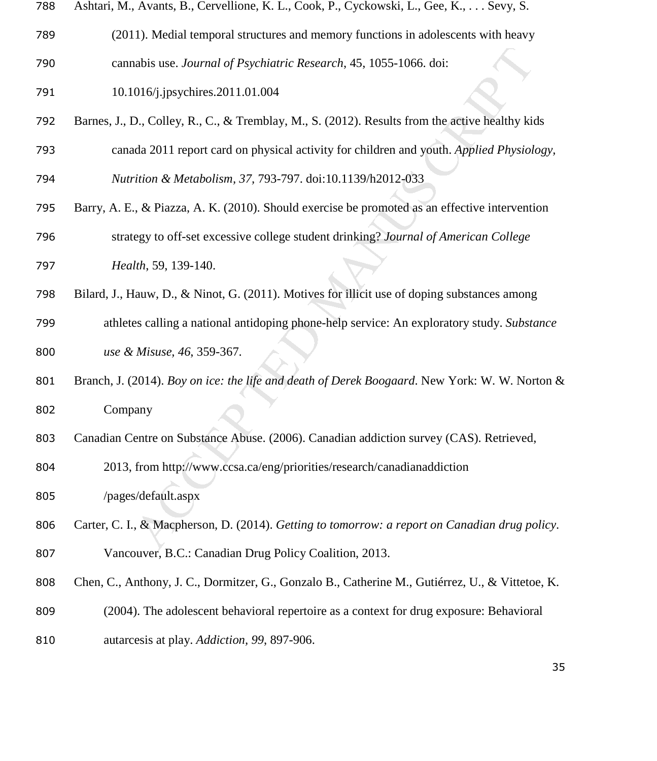|  | 788 Ashtari, M., Avants, B., Cervellione, K. L., Cook, P., Cyckowski, L., Gee, K., Sevy, S. |  |  |  |  |  |  |  |  |
|--|---------------------------------------------------------------------------------------------|--|--|--|--|--|--|--|--|
|--|---------------------------------------------------------------------------------------------|--|--|--|--|--|--|--|--|

- (2011). Medial temporal structures and memory functions in adolescents with heavy cannabis use. *Journal of Psychiatric Research*, 45, 1055-1066. doi:
- 10.1016/j.jpsychires.2011.01.004
- Barnes, J., D., Colley, R., C., & Tremblay, M., S. (2012). Results from the active healthy kids
- canada 2011 report card on physical activity for children and youth. *Applied Physiology,*

*Nutrition & Metabolism, 37,* 793-797. doi:10.1139/h2012-033

- aabis use. Journal of Psychiatric Research, 45, 1055-1066, doi:<br>
016/j.jpsychires.2011.01.004<br>
0., Colley, R., C., & Tremblay, M., S. (2012). Results from the active healthy kide<br>
da 2011 report card on physical activity f Barry, A. E., & Piazza, A. K. (2010). Should exercise be promoted as an effective intervention strategy to off-set excessive college student drinking? *Journal of American College*
- *Health*, 59, 139-140.
- Bilard, J., Hauw, D., & Ninot, G. (2011). Motives for illicit use of doping substances among
- athletes calling a national antidoping phone-help service: An exploratory study. *Substance use & Misuse, 46*, 359-367.
- Branch, J. (2014). *Boy on ice: the life and death of Derek Boogaard*. New York: W. W. Norton & Company
- Canadian Centre on Substance Abuse. (2006). Canadian addiction survey (CAS). Retrieved,
- 2013, from http://www.ccsa.ca/eng/priorities/research/canadianaddiction
- /pages/default.aspx
- Carter, C. I., & Macpherson, D. (2014). *Getting to tomorrow: a report on Canadian drug policy*. Vancouver, B.C.: Canadian Drug Policy Coalition, 2013.
- Chen, C., Anthony, J. C., Dormitzer, G., Gonzalo B., Catherine M., Gutiérrez, U., & Vittetoe, K.
- (2004). The adolescent behavioral repertoire as a context for drug exposure: Behavioral
- autarcesis at play. *Addiction, 99*, 897-906.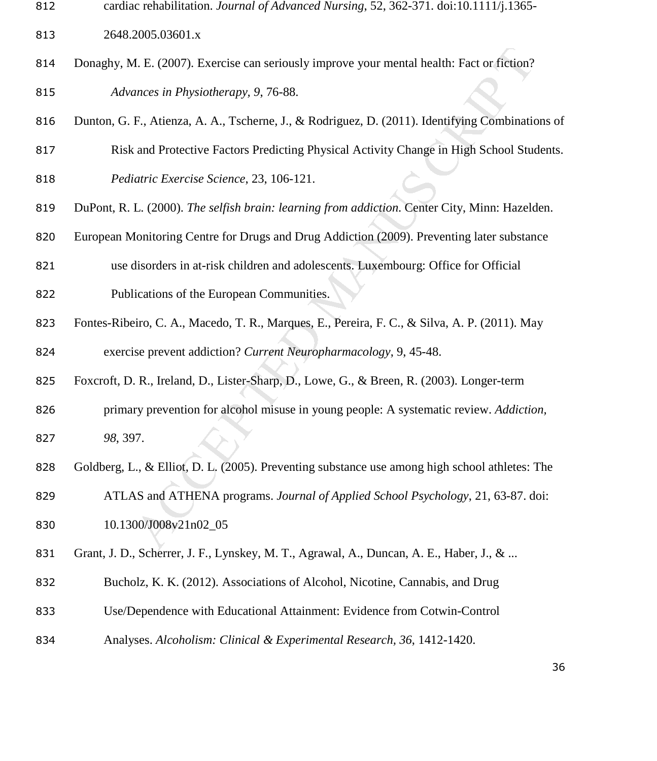cardiac rehabilitation. *Journal of Advanced Nursing*, 52, 362-371. doi:10.1111/j.1365-

2648.2005.03601.x

- Donaghy, M. E. (2007). Exercise can seriously improve your mental health: Fact or fiction? *Advances in Physiotherapy, 9*, 76-88.
- Dunton, G. F., Atienza, A. A., Tscherne, J., & Rodriguez, D. (2011). Identifying Combinations of
- Risk and Protective Factors Predicting Physical Activity Change in High School Students.
- *Pediatric Exercise Science*, 23, 106-121.
- DuPont, R. L. (2000). *The selfish brain: learning from addiction*. Center City, Minn: Hazelden.
- European Monitoring Centre for Drugs and Drug Addiction (2009). Preventing later substance
- use disorders in at-risk children and adolescents. Luxembourg: Office for Official
- Publications of the European Communities.
- Fontes-Ribeiro, C. A., Macedo, T. R., Marques, E., Pereira, F. C., & Silva, A. P. (2011). May

exercise prevent addiction? *Current Neuropharmacology*, 9, 45-48.

- Foxcroft, D. R., Ireland, D., Lister-Sharp, D., Lowe, G., & Breen, R. (2003). Longer-term
- primary prevention for alcohol misuse in young people: A systematic review. *Addiction, 98*, 397.
- Goldberg, L., & Elliot, D. L. (2005). Preventing substance use among high school athletes: The
- 4. E. (2007). Exercise can seriously improve your mental health: Fact or fiction?<br>
2. E., Atienza, A. A., Tscherne, J., & Rodriguez, D. (2011). Identifying Combination<br>
E., Atienza, A. A., Tscherne, J., & Rodriguez, D. (20 ATLAS and ATHENA programs. *Journal of Applied School Psychology*, 21, 63-87. doi: 10.1300/J008v21n02\_05
- 831 Grant, J. D., Scherrer, J. F., Lynskey, M. T., Agrawal, A., Duncan, A. E., Haber, J., & ...
- Bucholz, K. K. (2012). Associations of Alcohol, Nicotine, Cannabis, and Drug
- Use/Dependence with Educational Attainment: Evidence from Cotwin-Control
- Analyses. *Alcoholism: Clinical & Experimental Research, 36*, 1412-1420.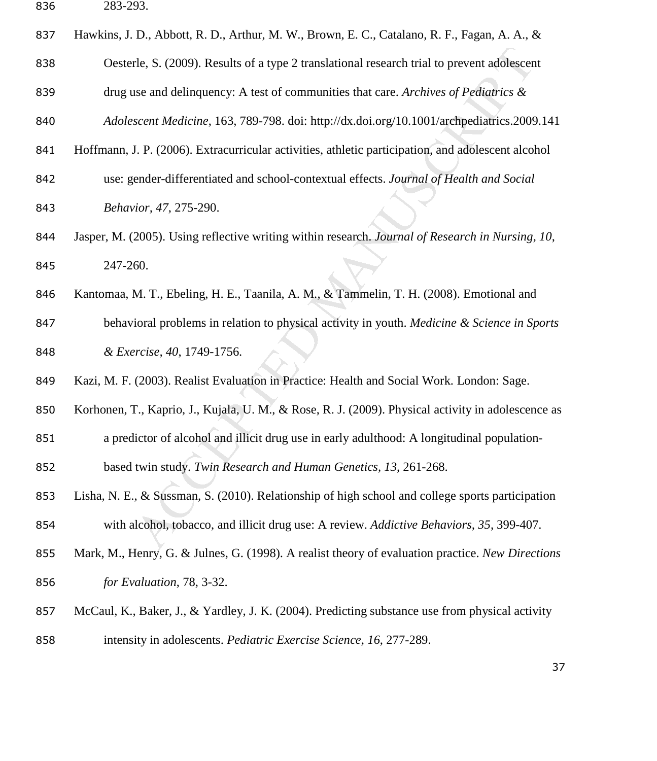| $-0.0 - 7$<br>-473.<br>. | 836 | 783 703 |
|--------------------------|-----|---------|
|--------------------------|-----|---------|

| 837 | Hawkins, J. D., Abbott, R. D., Arthur, M. W., Brown, E. C., Catalano, R. F., Fagan, A. A., &       |
|-----|----------------------------------------------------------------------------------------------------|
| 838 | Oesterle, S. (2009). Results of a type 2 translational research trial to prevent adolescent        |
| 839 | drug use and delinquency: A test of communities that care. Archives of Pediatrics $\&$             |
| 840 | Adolescent Medicine, 163, 789-798. doi: http://dx.doi.org/10.1001/archpediatrics.2009.141          |
| 841 | Hoffmann, J. P. (2006). Extracurricular activities, athletic participation, and adolescent alcohol |
| 842 | use: gender-differentiated and school-contextual effects. Journal of Health and Social             |
| 843 | Behavior, 47, 275-290.                                                                             |
| 844 | Jasper, M. (2005). Using reflective writing within research. Journal of Research in Nursing, 10,   |
| 845 | 247-260.                                                                                           |
| 846 | Kantomaa, M. T., Ebeling, H. E., Taanila, A. M., & Tammelin, T. H. (2008). Emotional and           |
| 847 | behavioral problems in relation to physical activity in youth. Medicine & Science in Sports        |
| 848 | & Exercise, 40, 1749-1756.                                                                         |
| 849 | Kazi, M. F. (2003). Realist Evaluation in Practice: Health and Social Work. London: Sage.          |
| 850 | Korhonen, T., Kaprio, J., Kujala, U. M., & Rose, R. J. (2009). Physical activity in adolescence as |
| 851 | a predictor of alcohol and illicit drug use in early adulthood: A longitudinal population-         |
| 852 | based twin study. Twin Research and Human Genetics, 13, 261-268.                                   |
| 853 | Lisha, N. E., & Sussman, S. (2010). Relationship of high school and college sports participation   |
| 854 | with alcohol, tobacco, and illicit drug use: A review. Addictive Behaviors, 35, 399-407.           |
| 855 | Mark, M., Henry, G. & Julnes, G. (1998). A realist theory of evaluation practice. New Directions   |
| 856 | for Evaluation, 78, 3-32.                                                                          |
| 857 | McCaul, K., Baker, J., & Yardley, J. K. (2004). Predicting substance use from physical activity    |
| 858 | intensity in adolescents. Pediatric Exercise Science, 16, 277-289.                                 |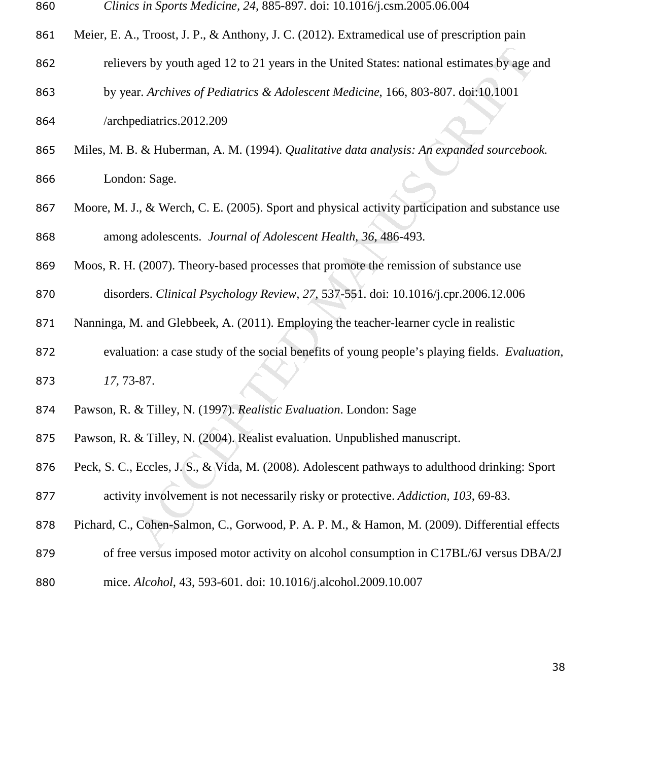- *Clinics in Sports Medicine, 24*, 885-897. doi: 10.1016/j.csm.2005.06.004
- 861 Meier, E. A., Troost, J. P., & Anthony, J. C. (2012). Extramedical use of prescription pain
- relievers by youth aged 12 to 21 years in the United States: national estimates by age and
- by year. *Archives of Pediatrics & Adolescent Medicine*, 166, 803-807. doi:10.1001 /archpediatrics.2012.209
- Miles, M. B. & Huberman, A. M. (1994). *Qualitative data analysis: An expanded sourcebook.* London: Sage.
- 867 Moore, M. J., & Werch, C. E. (2005). Sport and physical activity participation and substance use among adolescents. *Journal of Adolescent Health, 36*, 486-493.
- Moos, R. H. (2007). Theory-based processes that promote the remission of substance use
- disorders. *Clinical Psychology Review, 27*, 537-551. doi: 10.1016/j.cpr.2006.12.006
- Nanninga, M. and Glebbeek, A. (2011). Employing the teacher-learner cycle in realistic
- ers by youth aged 12 to 21 years in the United States: national estimates by age in Archives of Pediatrics & Adolescent Medicine, 166, 803-807. doi:10.1001<br>
1. & Huberman, A. M. (1994). Qualitative data analysis: An expand evaluation: a case study of the social benefits of young people's playing fields. *Evaluation, 17,* 73-87.
- Pawson, R. & Tilley, N. (1997). *Realistic Evaluation*. London: Sage
- Pawson, R. & Tilley, N. (2004). Realist evaluation. Unpublished manuscript.
- Peck, S. C., Eccles, J. S., & Vida, M. (2008). Adolescent pathways to adulthood drinking: Sport activity involvement is not necessarily risky or protective. *Addiction, 103*, 69-83.
- Pichard, C., Cohen-Salmon, C., Gorwood, P. A. P. M., & Hamon, M. (2009). Differential effects
- 879 of free versus imposed motor activity on alcohol consumption in C17BL/6J versus DBA/2J
- mice. *Alcohol*, 43, 593-601. doi: 10.1016/j.alcohol.2009.10.007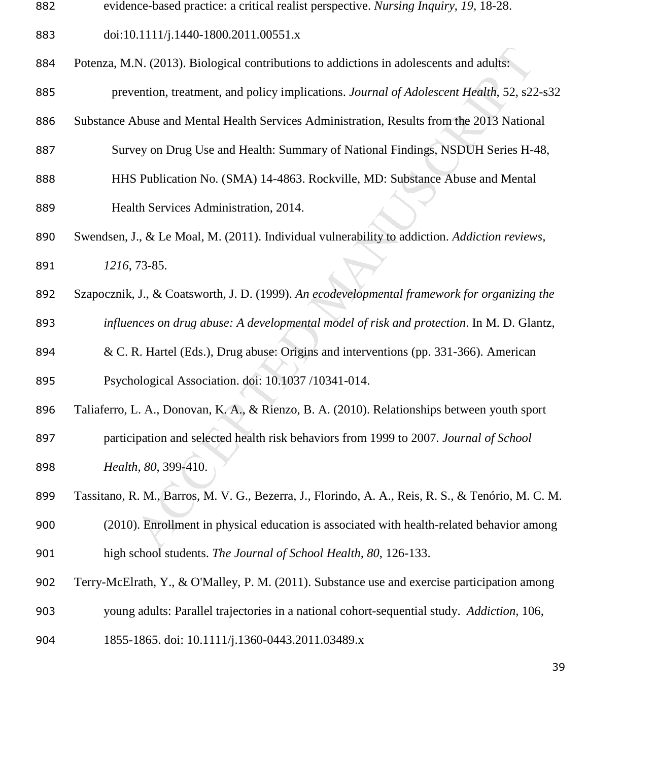- evidence-based practice: a critical realist perspective. *Nursing Inquiry*, *19*, 18-28.
- doi:10.1111/j.1440-1800.2011.00551.x
- Potenza, M.N. (2013). Biological contributions to addictions in adolescents and adults:
- prevention, treatment, and policy implications. *Journal of Adolescent Health*, 52, s22-s32
- Substance Abuse and Mental Health Services Administration, Results from the 2013 National
- Survey on Drug Use and Health: Summary of National Findings, NSDUH Series H-48,
- HHS Publication No. (SMA) 14-4863. Rockville, MD: Substance Abuse and Mental Health Services Administration, 2014.
- IN. (2013). Biological contributions to addictions in adolescents and adults:<br>
rention, treatment, and policy implications. *Journal of Adolescent Health*, 52, s2;<br>
blusc and Mental Health Services Administration, Results Swendsen, J., & Le Moal, M. (2011). Individual vulnerability to addiction. *Addiction reviews, 1216*, 73-85.
- Szapocznik, J., & Coatsworth, J. D. (1999). *An ecodevelopmental framework for organizing the influences on drug abuse: A developmental model of risk and protection*. In M. D. Glantz,
- & C. R. Hartel (Eds.), Drug abuse: Origins and interventions (pp. 331-366). American Psychological Association. doi: 10.1037 /10341-014.
- Taliaferro, L. A., Donovan, K. A., & Rienzo, B. A. (2010). Relationships between youth sport
- participation and selected health risk behaviors from 1999 to 2007. *Journal of School Health, 80*, 399-410.
- Tassitano, R. M., Barros, M. V. G., Bezerra, J., Florindo, A. A., Reis, R. S., & Tenório, M. C. M.
- (2010). Enrollment in physical education is associated with health-related behavior among high school students. *The Journal of School Health, 80*, 126-133.
- Terry-McElrath, Y., & O'Malley, P. M. (2011). Substance use and exercise participation among
- young adults: Parallel trajectories in a national cohort-sequential study. *Addiction,* 106,
- 1855-1865. doi: 10.1111/j.1360-0443.2011.03489.x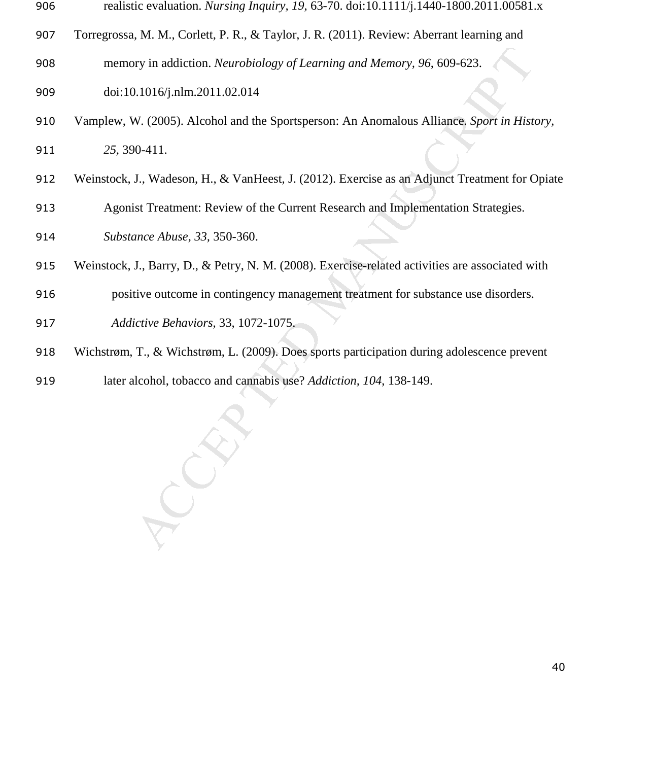| -906 |  | realistic evaluation. Nursing Inquiry, 19, 63-70. doi:10.1111/j.1440-1800.2011.00581.x |
|------|--|----------------------------------------------------------------------------------------|
|      |  |                                                                                        |

Torregrossa, M. M., Corlett, P. R., & Taylor, J. R. (2011). Review: Aberrant learning and memory in addiction. *Neurobiology of Learning and Memory, 96*, 609-623.

doi:10.1016/j.nlm.2011.02.014

- by in addiction. *Neurobiology of Learning and Memory.* 96, 609-623.<br>
1.1016/j.nlm.2011.02.014<br>
M. (2005). Alcohol and the Sportsperson: An Anomalous Alliance, *Sport in Hist*<br>
1.04-11.<br>
J., Wadeson, H., & VanHeest, J. (20 Vamplew, W. (2005). Alcohol and the Sportsperson: An Anomalous Alliance. *Sport in History, 25,* 390-411.
- Weinstock, J., Wadeson, H., & VanHeest, J. (2012). Exercise as an Adjunct Treatment for Opiate
- Agonist Treatment: Review of the Current Research and Implementation Strategies.

*Substance Abuse, 33,* 350-360.

- Weinstock, J., Barry, D., & Petry, N. M. (2008). Exercise-related activities are associated with
- positive outcome in contingency management treatment for substance use disorders.

*Addictive Behaviors*, 33, 1072-1075.

- Wichstrøm, T., & Wichstrøm, L. (2009). Does sports participation during adolescence prevent
- later alcohol, tobacco and cannabis use? *Addiction, 104*, 138-149.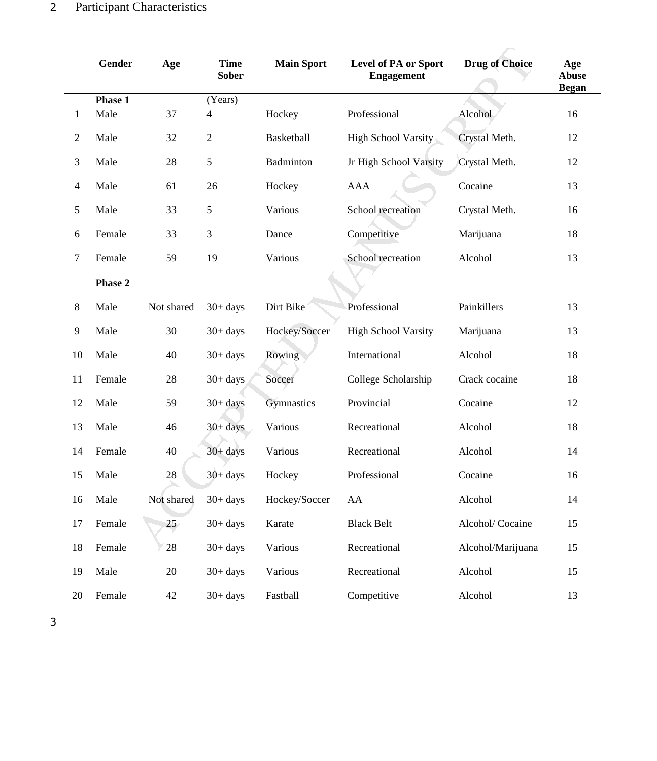|                  | Gender  | Age        | <b>Time</b><br><b>Sober</b> | <b>Main Sport</b> | Level of PA or Sport<br><b>Engagement</b> | <b>Drug of Choice</b> | Age<br><b>Abuse</b><br><b>Began</b> |
|------------------|---------|------------|-----------------------------|-------------------|-------------------------------------------|-----------------------|-------------------------------------|
|                  | Phase 1 |            | (Years)                     |                   |                                           |                       |                                     |
| $\mathbf{1}$     | Male    | 37         | 4                           | Hockey            | Professional                              | Alcohol               | 16                                  |
| $\mathfrak{2}$   | Male    | 32         | $\mathbf{2}$                | Basketball        | High School Varsity                       | Crystal Meth.         | 12                                  |
| 3                | Male    | 28         | $\sqrt{5}$                  | Badminton         | Jr High School Varsity                    | Crystal Meth.         | 12                                  |
| $\overline{4}$   | Male    | 61         | 26                          | Hockey            | AAA                                       | Cocaine               | 13                                  |
| 5                | Male    | 33         | $\sqrt{5}$                  | Various           | School recreation                         | Crystal Meth.         | 16                                  |
| 6                | Female  | 33         | $\mathfrak{Z}$              | Dance             | Competitive                               | Marijuana             | 18                                  |
| $\boldsymbol{7}$ | Female  | 59         | 19                          | Various           | School recreation                         | Alcohol               | 13                                  |
|                  | Phase 2 |            |                             |                   |                                           |                       |                                     |
| $\,8\,$          | Male    | Not shared | $30+ days$                  | Dirt Bike         | Professional                              | Painkillers           | 13                                  |
| 9                | Male    | 30         | $30+ days$                  | Hockey/Soccer     | <b>High School Varsity</b>                | Marijuana             | 13                                  |
| 10               | Male    | 40         | $30+ days$                  | Rowing            | International                             | Alcohol               | 18                                  |
| 11               | Female  | $28\,$     | $30+ days$                  | Soccer            | College Scholarship                       | Crack cocaine         | 18                                  |
| 12               | Male    | 59         | $30+ days$                  | Gymnastics        | Provincial                                | Cocaine               | 12                                  |
| 13               | Male    | 46         | $30+ days$                  | Various           | Recreational                              | Alcohol               | 18                                  |
| 14               | Female  | 40         | $30 + days$                 | Various           | Recreational                              | Alcohol               | 14                                  |
| 15               | Male    | 28         | $30+ days$                  | Hockey            | Professional                              | Cocaine               | 16                                  |
| 16               | Male    | Not shared | $30+ days$                  | Hockey/Soccer     | AA                                        | Alcohol               | 14                                  |
| 17               | Female  | 25         | $30+ days$                  | Karate            | <b>Black Belt</b>                         | Alcohol/Cocaine       | 15                                  |
| 18               | Female  | 28         | $30+ days$                  | Various           | Recreational                              | Alcohol/Marijuana     | 15                                  |
| 19               | Male    | $20\,$     | $30+ days$                  | Various           | Recreational                              | Alcohol               | 15                                  |
| 20               | Female  | $42\,$     | $30+ days$                  | Fastball          | Competitive                               | Alcohol               | 13                                  |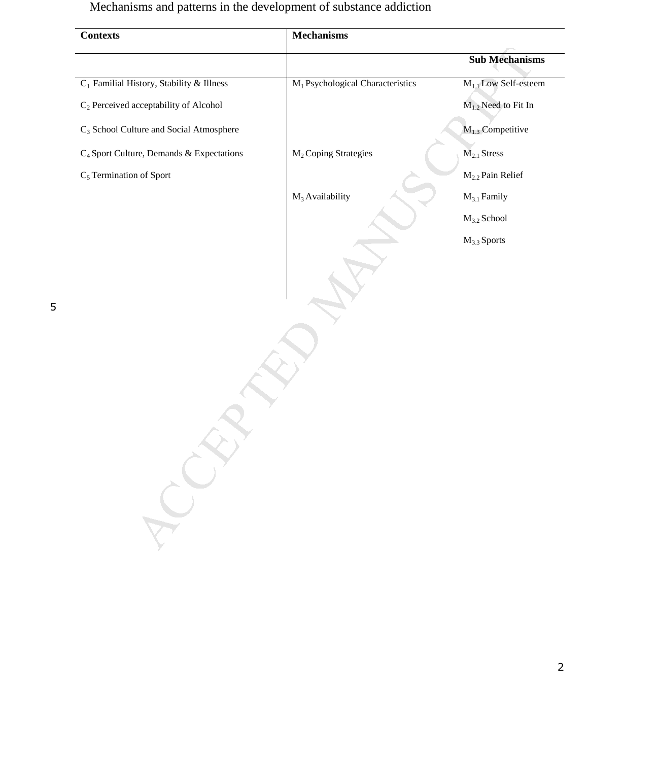Mechanisms and patterns in the development of substance addiction

| <b>Contexts</b>                                      | <b>Mechanisms</b>                            |                                  |  |  |
|------------------------------------------------------|----------------------------------------------|----------------------------------|--|--|
|                                                      |                                              | <b>Sub Mechanisms</b>            |  |  |
| $C_1$ Familial History, Stability & Illness          | M <sub>1</sub> Psychological Characteristics | M <sub>1.1</sub> Low Self-esteem |  |  |
| C <sub>2</sub> Perceived acceptability of Alcohol    |                                              | $M_{1,2}$ Need to Fit In         |  |  |
| C <sub>3</sub> School Culture and Social Atmosphere  |                                              | $M_{1,3}$ Competitive            |  |  |
| C <sub>4</sub> Sport Culture, Demands & Expectations | M <sub>2</sub> Coping Strategies             | M <sub>2.1</sub> Stress          |  |  |
| C <sub>5</sub> Termination of Sport                  |                                              | $M2.2$ Pain Relief               |  |  |
|                                                      | $M_3$ Availability                           | $M_{3.1}$ Family                 |  |  |
|                                                      |                                              | $M_{3.2}$ School                 |  |  |
|                                                      |                                              | $M_{3.3}$ Sports                 |  |  |
|                                                      |                                              |                                  |  |  |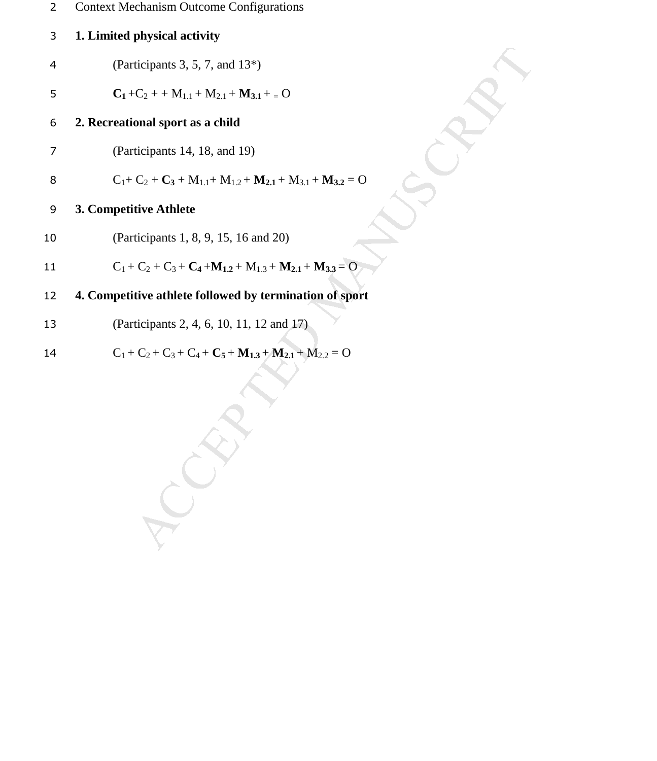| <b>Context Mechanism Outcome Configurations</b> |
|-------------------------------------------------|
|                                                 |

# **1. Limited physical activity**

- (Participants 3, 5, 7, and 13\*)
- 5 **C**<sub>1</sub> + C<sub>2</sub> + + M<sub>1.1</sub> + M<sub>2.1</sub> + M<sub>3.1</sub> + = O

**2. Recreational sport as a child** 

(Participants 14, 18, and 19)

8 
$$
C_1 + C_2 + C_3 + M_{1,1} + M_{1,2} + M_{2,1} + M_{3,1} + M_{3,2} = 0
$$

# **3. Competitive Athlete**

(Participants 1, 8, 9, 15, 16 and 20)

4 (Participants 3, 5, 7, and 13\*)  
\n5 
$$
C_1+C_2 + M_{1,1}+M_{2,1}+M_{3,1}+ = 0
$$
  
\n6 2. Recretional sport as a child  
\n7 (Participants 14, 18, and 19)  
\n8  $C_1+C_2+C_3+M_{1,1}+M_{1,2}+M_{2,1}+M_{3,1}+M_{3,2}=0$   
\n9 3. Computeitive Athlete  
\n10 (Participants 1, 8, 9, 15, 16 and 20)  
\n11  $C_1+C_2+C_3+C_4+M_{1,2}+M_{1,3}+M_{2,1}+M_{3,3}=0$   
\n4. Computeitive athlete followed by termination of sport  
\n13 (Participants 2, 4, 6, 10, 11, 12 and 17)  
\n $C_1+C_2+C_3+C_4+C_5+M_{1,3}+M_{2,1}+M_{2,2}=0$ 

# **4. Competitive athlete followed by termination of sport**

(Participants 2, 4, 6, 10, 11, 12 and 17)

14 
$$
C_1 + C_2 + C_3 + C_4 + C_5 + M_{1,3} + M_{2,1} + M_{2,2} = 0
$$